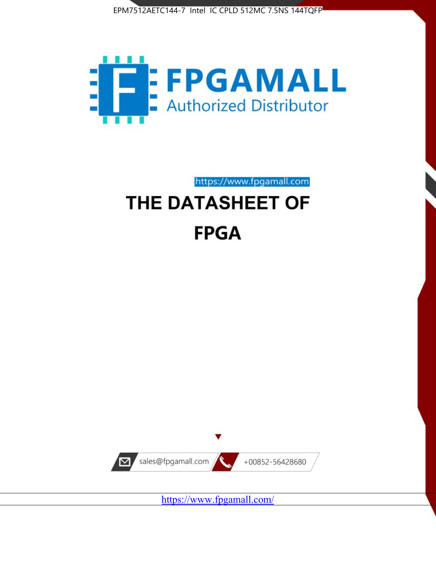



https://www.fpgamall.com

# THE DATASHEET OF **FPGA**



<https://www.fpgamall.com/>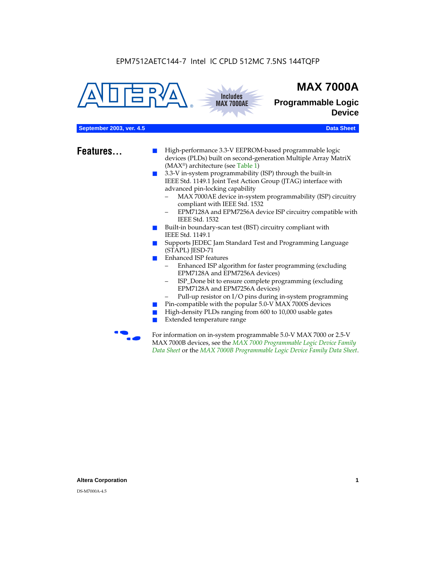



## **MAX 7000A**

**Programmable Logic Device**

## **September 2003, ver. 4.5 Data Sheet** Construction of the Construction of the Construction of the Construction of the Construction of the Construction of the Construction of the Construction of the Construction of the Cons

- **Features...** High-performance 3.3-V EEPROM-based programmable logic devices (PLDs) built on second-generation Multiple Array MatriX (MAX®) architecture (see Table 1)
	- 3.3-V in-system programmability (ISP) through the built-in IEEE Std. 1149.1 Joint Test Action Group (JTAG) interface with advanced pin-locking capability
		- MAX 7000AE device in-system programmability (ISP) circuitry compliant with IEEE Std. 1532
		- EPM7128A and EPM7256A device ISP circuitry compatible with IEEE Std. 1532
	- Built-in boundary-scan test (BST) circuitry compliant with IEEE Std. 1149.1
	- Supports JEDEC Jam Standard Test and Programming Language (STAPL) JESD-71
	- Enhanced ISP features
		- Enhanced ISP algorithm for faster programming (excluding EPM7128A and EPM7256A devices)
		- ISP\_Done bit to ensure complete programming (excluding EPM7128A and EPM7256A devices)
		- Pull-up resistor on I/O pins during in-system programming
	- Pin-compatible with the popular 5.0-V MAX 7000S devices
	- High-density PLDs ranging from 600 to 10,000 usable gates
	- Extended temperature range

For information on in-system programmable 5.0-V MAX 7000 or 2.5-V MAX 7000B devices, see the *MAX 7000 Programmable Logic Device Family Data Sheet* or the *MAX 7000B Programmable Logic Device Family Data Sheet*.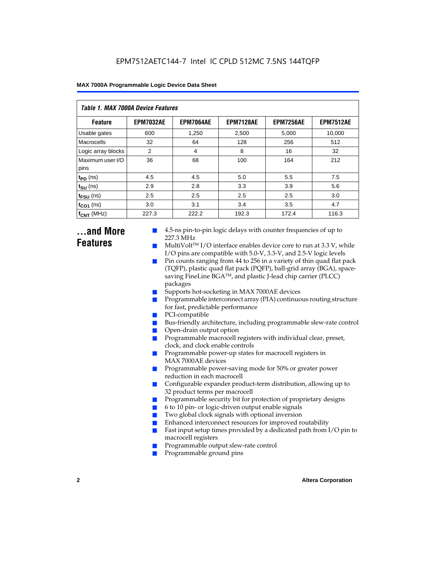| Table 1. MAX 7000A Device Features |                  |                  |                  |                  |                  |  |  |  |  |
|------------------------------------|------------------|------------------|------------------|------------------|------------------|--|--|--|--|
| <b>Feature</b>                     | <b>EPM7032AE</b> | <b>EPM7064AE</b> | <b>EPM7128AE</b> | <b>EPM7256AE</b> | <b>EPM7512AE</b> |  |  |  |  |
| Usable gates                       | 600              | 1,250            | 2,500            | 5,000            | 10,000           |  |  |  |  |
| Macrocells                         | 32               | 64               | 128              | 256              | 512              |  |  |  |  |
| Logic array blocks                 | 2                | $\overline{4}$   | 8                | 16               | 32               |  |  |  |  |
| Maximum user I/O<br>pins           | 36               | 68               | 100              | 164              | 212              |  |  |  |  |
| $t_{PD}$ (ns)                      | 4.5              | 4.5              | 5.0              | 5.5              | 7.5              |  |  |  |  |
| $t_{\text{SU}}$ (ns)               | 2.9              | 2.8              | 3.3              | 3.9              | 5.6              |  |  |  |  |
| $t_{\text{FSU}}$ (ns)              | 2.5              | 2.5              | 2.5              | 2.5              | 3.0              |  |  |  |  |
| $t_{CO1}$ (ns)                     | 3.0              | 3.1              | 3.4              | 3.5              | 4.7              |  |  |  |  |
| $f_{CNT}$ (MHz)                    | 227.3            | 222.2            | 192.3            | 172.4            | 116.3            |  |  |  |  |

## **...and More Features**

- 4.5-ns pin-to-pin logic delays with counter frequencies of up to 227.3 MHz
- $Multivolt<sup>TM</sup> I/O interface enables device core to run at 3.3 V, while$ I/O pins are compatible with 5.0-V, 3.3-V, and 2.5-V logic levels
- Pin counts ranging from 44 to 256 in a variety of thin quad flat pack (TQFP), plastic quad flat pack (PQFP), ball-grid array (BGA), spacesaving FineLine BGATM, and plastic J-lead chip carrier (PLCC) packages
- Supports hot-socketing in MAX 7000AE devices
- Programmable interconnect array (PIA) continuous routing structure for fast, predictable performance
- PCI-compatible
- Bus-friendly architecture, including programmable slew-rate control
- Open-drain output option
- Programmable macrocell registers with individual clear, preset, clock, and clock enable controls
- Programmable power-up states for macrocell registers in MAX 7000AE devices
- Programmable power-saving mode for 50% or greater power reduction in each macrocell
- Configurable expander product-term distribution, allowing up to 32 product terms per macrocell
- Programmable security bit for protection of proprietary designs
- 6 to 10 pin- or logic-driven output enable signals
- Two global clock signals with optional inversion
- Enhanced interconnect resources for improved routability
- Fast input setup times provided by a dedicated path from  $I/O$  pin to macrocell registers
- Programmable output slew-rate control
- Programmable ground pins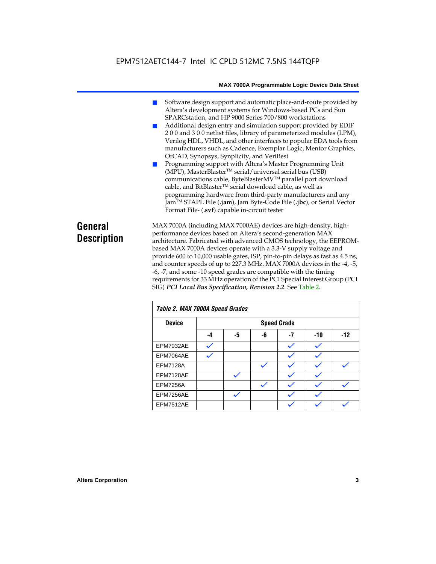## EPM7512AETC144-7 Intel IC CPLD 512MC 7.5NS 144TQFP

#### **MAX 7000A Programmable Logic Device Data Sheet**

- Software design support and automatic place-and-route provided by Altera's development systems for Windows-based PCs and Sun SPARCstation, and HP 9000 Series 700/800 workstations
- Additional design entry and simulation support provided by EDIF 2 0 0 and 3 0 0 netlist files, library of parameterized modules (LPM), Verilog HDL, VHDL, and other interfaces to popular EDA tools from manufacturers such as Cadence, Exemplar Logic, Mentor Graphics, OrCAD, Synopsys, Synplicity, and VeriBest
- Programming support with Altera's Master Programming Unit (MPU), MasterBlaster™ serial/universal serial bus (USB) communications cable, ByteBlasterMVTM parallel port download cable, and BitBlaster™ serial download cable, as well as programming hardware from third-party manufacturers and any JamTM STAPL File (**.jam**), Jam Byte-Code File (**.jbc**), or Serial Vector Format File- (**.svf**) capable in-circuit tester

## **General Description**

MAX 7000A (including MAX 7000AE) devices are high-density, highperformance devices based on Altera's second-generation MAX architecture. Fabricated with advanced CMOS technology, the EEPROMbased MAX 7000A devices operate with a 3.3-V supply voltage and provide 600 to 10,000 usable gates, ISP, pin-to-pin delays as fast as 4.5 ns, and counter speeds of up to 227.3 MHz. MAX 7000A devices in the -4, -5, -6, -7, and some -10 speed grades are compatible with the timing requirements for 33 MHz operation of the PCI Special Interest Group (PCI SIG) *PCI Local Bus Specification, Revision 2.2*. See Table 2.

| Table 2. MAX 7000A Speed Grades |    |    |    |                    |     |       |  |
|---------------------------------|----|----|----|--------------------|-----|-------|--|
| <b>Device</b>                   |    |    |    | <b>Speed Grade</b> |     |       |  |
|                                 | -4 | -5 | -6 | $-7$               | -10 | $-12$ |  |
| EPM7032AE                       |    |    |    |                    |     |       |  |
| EPM7064AE                       |    |    |    |                    |     |       |  |
| <b>EPM7128A</b>                 |    |    |    |                    |     |       |  |
| EPM7128AE                       |    |    |    |                    |     |       |  |
| <b>EPM7256A</b>                 |    |    |    |                    |     |       |  |
| EPM7256AE                       |    |    |    |                    |     |       |  |
| EPM7512AE                       |    |    |    |                    |     |       |  |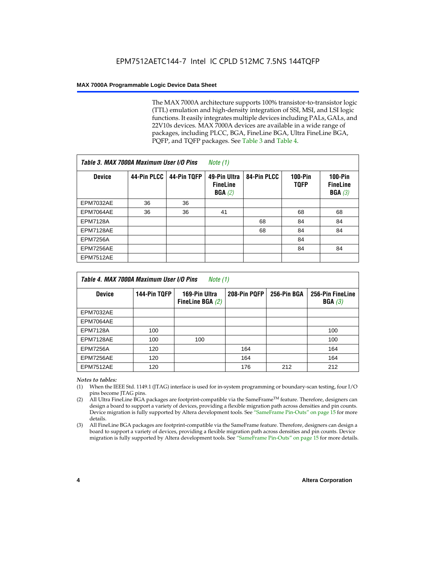The MAX 7000A architecture supports 100% transistor-to-transistor logic (TTL) emulation and high-density integration of SSI, MSI, and LSI logic functions. It easily integrates multiple devices including PALs, GALs, and 22V10s devices. MAX 7000A devices are available in a wide range of packages, including PLCC, BGA, FineLine BGA, Ultra FineLine BGA, PQFP, and TQFP packages. See Table 3 and Table 4.

| Table 3. MAX 7000A Maximum User I/O Pins |             |             | Note $(1)$                                |             |                               |                                        |
|------------------------------------------|-------------|-------------|-------------------------------------------|-------------|-------------------------------|----------------------------------------|
| <b>Device</b>                            | 44-Pin PLCC | 44-Pin TQFP | 49-Pin Ultra<br><b>FineLine</b><br>BGA(2) | 84-Pin PLCC | <b>100-Pin</b><br><b>TQFP</b> | $100-Pin$<br><b>FineLine</b><br>BGA(3) |
| <b>EPM7032AE</b>                         | 36          | 36          |                                           |             |                               |                                        |
| EPM7064AE                                | 36          | 36          | 41                                        |             | 68                            | 68                                     |
| <b>EPM7128A</b>                          |             |             |                                           | 68          | 84                            | 84                                     |
| EPM7128AE                                |             |             |                                           | 68          | 84                            | 84                                     |
| <b>EPM7256A</b>                          |             |             |                                           |             | 84                            |                                        |
| EPM7256AE                                |             |             |                                           |             | 84                            | 84                                     |
| <b>EPM7512AE</b>                         |             |             |                                           |             |                               |                                        |

| Table 4. MAX 7000A Maximum User I/O Pins<br>Note (1) |              |                                     |              |             |                            |  |  |
|------------------------------------------------------|--------------|-------------------------------------|--------------|-------------|----------------------------|--|--|
| <b>Device</b>                                        | 144-Pin TQFP | 169-Pin Ultra<br>FineLine BGA $(2)$ | 208-Pin PQFP | 256-Pin BGA | 256-Pin FineLine<br>BGA(3) |  |  |
| EPM7032AE                                            |              |                                     |              |             |                            |  |  |
| EPM7064AE                                            |              |                                     |              |             |                            |  |  |
| <b>EPM7128A</b>                                      | 100          |                                     |              |             | 100                        |  |  |
| EPM7128AE                                            | 100          | 100                                 |              |             | 100                        |  |  |
| <b>EPM7256A</b>                                      | 120          |                                     | 164          |             | 164                        |  |  |
| EPM7256AE                                            | 120          |                                     | 164          |             | 164                        |  |  |
| EPM7512AE                                            | 120          |                                     | 176          | 212         | 212                        |  |  |

#### *Notes to tables:*

- (1) When the IEEE Std. 1149.1 (JTAG) interface is used for in-system programming or boundary-scan testing, four I/O pins become JTAG pins.
- (2) All Ultra FineLine BGA packages are footprint-compatible via the SameFrame<sup>TM</sup> feature. Therefore, designers can design a board to support a variety of devices, providing a flexible migration path across densities and pin counts. Device migration is fully supported by Altera development tools. See "SameFrame Pin-Outs" on page 15 for more details.
- (3) All FineLine BGA packages are footprint-compatible via the SameFrame feature. Therefore, designers can design a board to support a variety of devices, providing a flexible migration path across densities and pin counts. Device migration is fully supported by Altera development tools. See "SameFrame Pin-Outs" on page 15 for more details.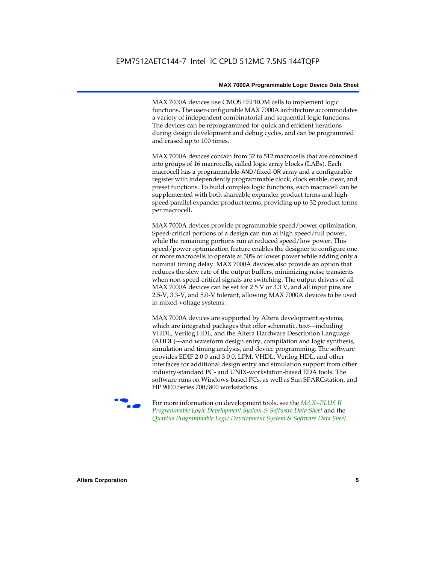MAX 7000A devices use CMOS EEPROM cells to implement logic functions. The user-configurable MAX 7000A architecture accommodates a variety of independent combinatorial and sequential logic functions. The devices can be reprogrammed for quick and efficient iterations during design development and debug cycles, and can be programmed and erased up to 100 times.

MAX 7000A devices contain from 32 to 512 macrocells that are combined into groups of 16 macrocells, called logic array blocks (LABs). Each macrocell has a programmable-AND/fixed-OR array and a configurable register with independently programmable clock, clock enable, clear, and preset functions. To build complex logic functions, each macrocell can be supplemented with both shareable expander product terms and highspeed parallel expander product terms, providing up to 32 product terms per macrocell.

MAX 7000A devices provide programmable speed/power optimization. Speed-critical portions of a design can run at high speed/full power, while the remaining portions run at reduced speed/low power. This speed/power optimization feature enables the designer to configure one or more macrocells to operate at 50% or lower power while adding only a nominal timing delay. MAX 7000A devices also provide an option that reduces the slew rate of the output buffers, minimizing noise transients when non-speed-critical signals are switching. The output drivers of all MAX 7000A devices can be set for 2.5 V or 3.3 V, and all input pins are 2.5-V, 3.3-V, and 5.0-V tolerant, allowing MAX 7000A devices to be used in mixed-voltage systems.

MAX 7000A devices are supported by Altera development systems, which are integrated packages that offer schematic, text—including VHDL, Verilog HDL, and the Altera Hardware Description Language (AHDL)—and waveform design entry, compilation and logic synthesis, simulation and timing analysis, and device programming. The software provides EDIF 2 0 0 and 3 0 0, LPM, VHDL, Verilog HDL, and other interfaces for additional design entry and simulation support from other industry-standard PC- and UNIX-workstation-based EDA tools. The software runs on Windows-based PCs, as well as Sun SPARCstation, and HP 9000 Series 700/800 workstations.

**For more information on development tools, see the** *MAX+PLUS II Programmable Logic Development System & Software Data Sheet* and the *Quartus Programmable Logic Development System & Software Data Sheet*.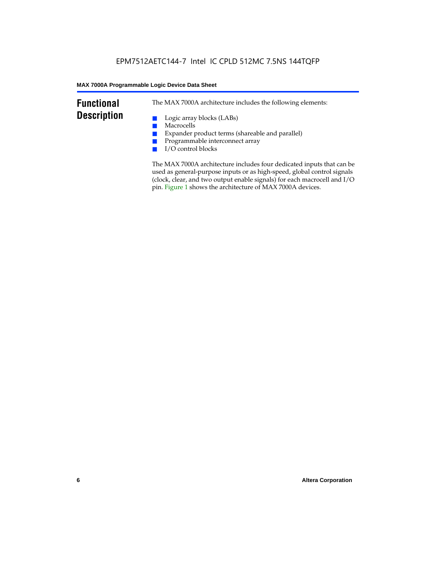## **Functional Description**

The MAX 7000A architecture includes the following elements:

- Logic array blocks (LABs)
- Macrocells
- Expander product terms (shareable and parallel)
- Programmable interconnect array
- I/O control blocks

The MAX 7000A architecture includes four dedicated inputs that can be used as general-purpose inputs or as high-speed, global control signals (clock, clear, and two output enable signals) for each macrocell and I/O pin. Figure 1 shows the architecture of MAX 7000A devices.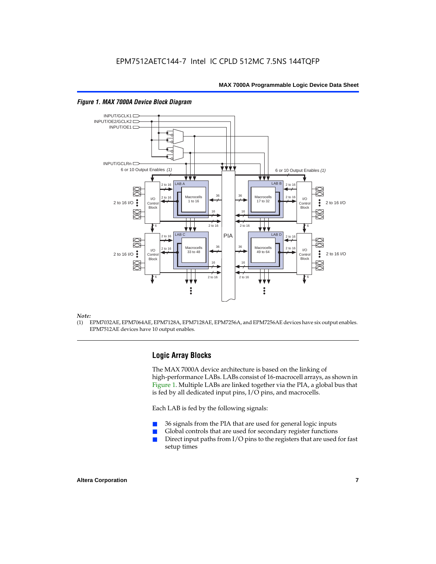

#### *Figure 1. MAX 7000A Device Block Diagram*

#### *Note:*

(1) EPM7032AE, EPM7064AE, EPM7128A, EPM7128AE, EPM7256A, and EPM7256AE devices have six output enables. EPM7512AE devices have 10 output enables.

## **Logic Array Blocks**

The MAX 7000A device architecture is based on the linking of high-performance LABs. LABs consist of 16-macrocell arrays, as shown in Figure 1. Multiple LABs are linked together via the PIA, a global bus that is fed by all dedicated input pins, I/O pins, and macrocells.

Each LAB is fed by the following signals:

- 36 signals from the PIA that are used for general logic inputs
- Global controls that are used for secondary register functions
- Direct input paths from  $I/O$  pins to the registers that are used for fast setup times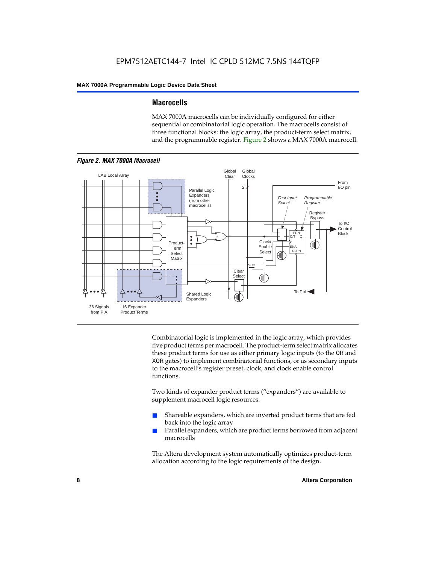## **Macrocells**

MAX 7000A macrocells can be individually configured for either sequential or combinatorial logic operation. The macrocells consist of three functional blocks: the logic array, the product-term select matrix, and the programmable register. Figure 2 shows a MAX 7000A macrocell.



Combinatorial logic is implemented in the logic array, which provides five product terms per macrocell. The product-term select matrix allocates these product terms for use as either primary logic inputs (to the OR and XOR gates) to implement combinatorial functions, or as secondary inputs to the macrocell's register preset, clock, and clock enable control functions.

Two kinds of expander product terms ("expanders") are available to supplement macrocell logic resources:

- Shareable expanders, which are inverted product terms that are fed back into the logic array
- Parallel expanders, which are product terms borrowed from adjacent macrocells

The Altera development system automatically optimizes product-term allocation according to the logic requirements of the design.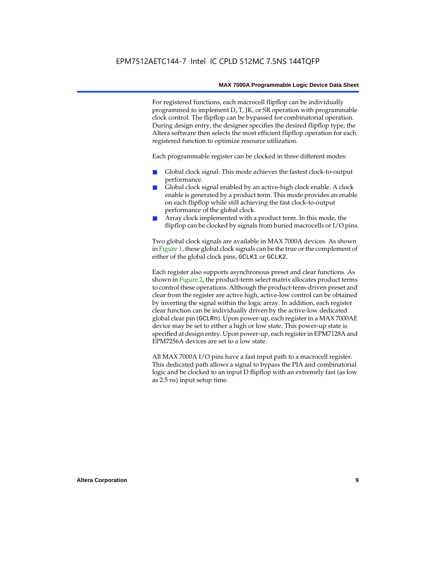For registered functions, each macrocell flipflop can be individually programmed to implement D, T, JK, or SR operation with programmable clock control. The flipflop can be bypassed for combinatorial operation. During design entry, the designer specifies the desired flipflop type; the Altera software then selects the most efficient flipflop operation for each registered function to optimize resource utilization.

Each programmable register can be clocked in three different modes:

- Global clock signal. This mode achieves the fastest clock-to-output performance.
- Global clock signal enabled by an active-high clock enable. A clock enable is generated by a product term. This mode provides an enable on each flipflop while still achieving the fast clock-to-output performance of the global clock.
- Array clock implemented with a product term. In this mode, the flipflop can be clocked by signals from buried macrocells or I/O pins.

Two global clock signals are available in MAX 7000A devices. As shown in Figure 1, these global clock signals can be the true or the complement of either of the global clock pins, GCLK1 or GCLK2.

Each register also supports asynchronous preset and clear functions. As shown in Figure 2, the product-term select matrix allocates product terms to control these operations. Although the product-term-driven preset and clear from the register are active high, active-low control can be obtained by inverting the signal within the logic array. In addition, each register clear function can be individually driven by the active-low dedicated global clear pin (GCLRn). Upon power-up, each register in a MAX 7000AE device may be set to either a high or low state. This power-up state is specified at design entry. Upon power-up, each register in EPM7128A and EPM7256A devices are set to a low state.

All MAX 7000A I/O pins have a fast input path to a macrocell register. This dedicated path allows a signal to bypass the PIA and combinatorial logic and be clocked to an input D flipflop with an extremely fast (as low as 2.5 ns) input setup time.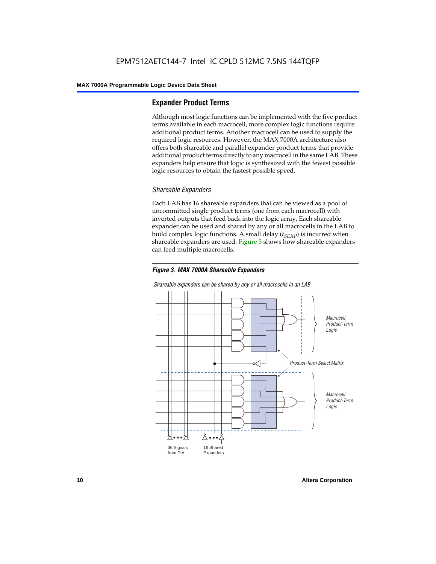## **Expander Product Terms**

Although most logic functions can be implemented with the five product terms available in each macrocell, more complex logic functions require additional product terms. Another macrocell can be used to supply the required logic resources. However, the MAX 7000A architecture also offers both shareable and parallel expander product terms that provide additional product terms directly to any macrocell in the same LAB. These expanders help ensure that logic is synthesized with the fewest possible logic resources to obtain the fastest possible speed.

### *Shareable Expanders*

Each LAB has 16 shareable expanders that can be viewed as a pool of uncommitted single product terms (one from each macrocell) with inverted outputs that feed back into the logic array. Each shareable expander can be used and shared by any or all macrocells in the LAB to build complex logic functions. A small delay  $(t_{SFXP})$  is incurred when shareable expanders are used. Figure 3 shows how shareable expanders can feed multiple macrocells.





*Shareable expanders can be shared by any or all macrocells in an LAB.*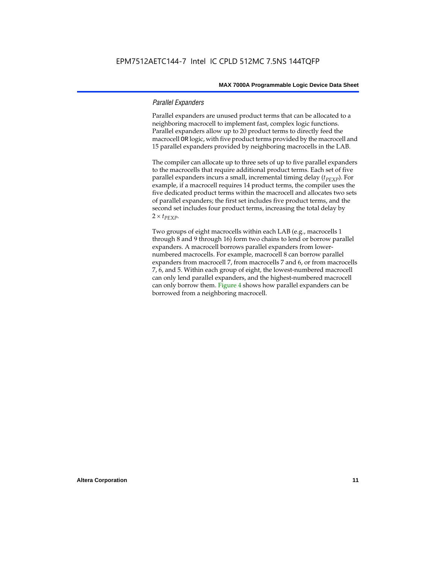## *Parallel Expanders*

Parallel expanders are unused product terms that can be allocated to a neighboring macrocell to implement fast, complex logic functions. Parallel expanders allow up to 20 product terms to directly feed the macrocell OR logic, with five product terms provided by the macrocell and 15 parallel expanders provided by neighboring macrocells in the LAB.

The compiler can allocate up to three sets of up to five parallel expanders to the macrocells that require additional product terms. Each set of five parallel expanders incurs a small, incremental timing delay (*t<sub>PEXP</sub>*). For example, if a macrocell requires 14 product terms, the compiler uses the five dedicated product terms within the macrocell and allocates two sets of parallel expanders; the first set includes five product terms, and the second set includes four product terms, increasing the total delay by  $2 \times t_{PEXP}$ .

Two groups of eight macrocells within each LAB (e.g., macrocells 1 through 8 and 9 through 16) form two chains to lend or borrow parallel expanders. A macrocell borrows parallel expanders from lowernumbered macrocells. For example, macrocell 8 can borrow parallel expanders from macrocell 7, from macrocells 7 and 6, or from macrocells 7, 6, and 5. Within each group of eight, the lowest-numbered macrocell can only lend parallel expanders, and the highest-numbered macrocell can only borrow them. Figure 4 shows how parallel expanders can be borrowed from a neighboring macrocell.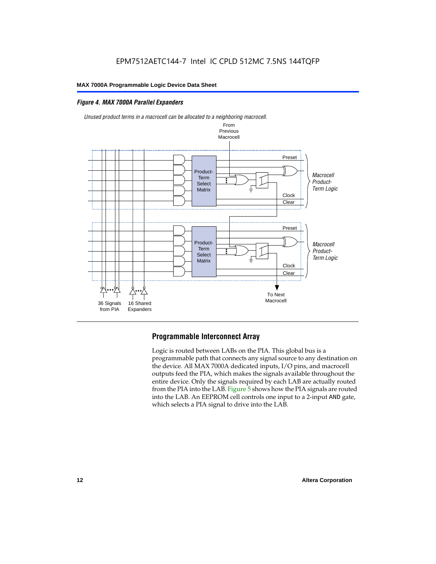## *Figure 4. MAX 7000A Parallel Expanders*

36 Signals from PIA

16 Shared Expanders



## **Programmable Interconnect Array**

**Matrix** 

Logic is routed between LABs on the PIA. This global bus is a programmable path that connects any signal source to any destination on the device. All MAX 7000A dedicated inputs, I/O pins, and macrocell outputs feed the PIA, which makes the signals available throughout the entire device. Only the signals required by each LAB are actually routed from the PIA into the LAB. Figure 5 shows how the PIA signals are routed into the LAB. An EEPROM cell controls one input to a 2-input AND gate, which selects a PIA signal to drive into the LAB.

**Clock** Clear Term Logic

To Next Macrocell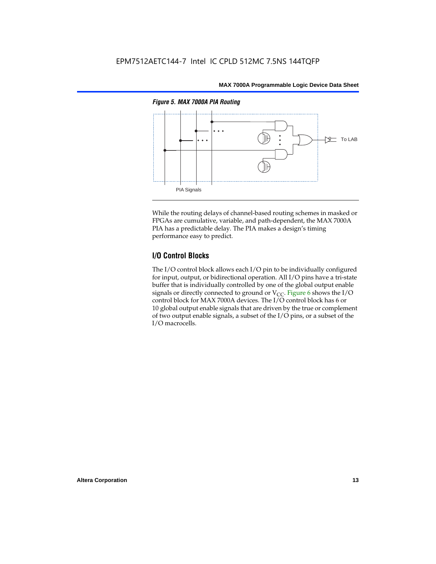

While the routing delays of channel-based routing schemes in masked or FPGAs are cumulative, variable, and path-dependent, the MAX 7000A PIA has a predictable delay. The PIA makes a design's timing performance easy to predict.

## **I/O Control Blocks**

The I/O control block allows each I/O pin to be individually configured for input, output, or bidirectional operation. All I/O pins have a tri-state buffer that is individually controlled by one of the global output enable signals or directly connected to ground or  $V_{CC}$ . Figure 6 shows the I/O control block for MAX 7000A devices. The I/O control block has 6 or 10 global output enable signals that are driven by the true or complement of two output enable signals, a subset of the I/O pins, or a subset of the I/O macrocells.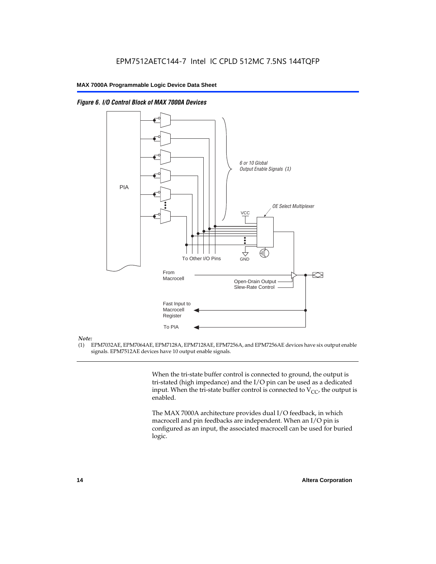

*Figure 6. I/O Control Block of MAX 7000A Devices*

#### *Note:*

(1) EPM7032AE, EPM7064AE, EPM7128A, EPM7128AE, EPM7256A, and EPM7256AE devices have six output enable signals. EPM7512AE devices have 10 output enable signals.

> When the tri-state buffer control is connected to ground, the output is tri-stated (high impedance) and the I/O pin can be used as a dedicated input. When the tri-state buffer control is connected to  $V_{CC}$ , the output is enabled.

The MAX 7000A architecture provides dual I/O feedback, in which macrocell and pin feedbacks are independent. When an I/O pin is configured as an input, the associated macrocell can be used for buried logic.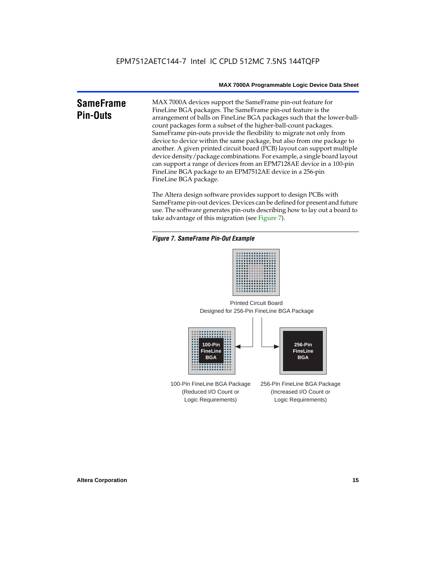#### **SameFrame Pin-Outs** MAX 7000A devices support the SameFrame pin-out feature for FineLine BGA packages. The SameFrame pin-out feature is the arrangement of balls on FineLine BGA packages such that the lower-ballcount packages form a subset of the higher-ball-count packages. SameFrame pin-outs provide the flexibility to migrate not only from device to device within the same package, but also from one package to another. A given printed circuit board (PCB) layout can support multiple device density/package combinations. For example, a single board layout can support a range of devices from an EPM7128AE device in a 100-pin FineLine BGA package to an EPM7512AE device in a 256-pin FineLine BGA package.

The Altera design software provides support to design PCBs with SameFrame pin-out devices. Devices can be defined for present and future use. The software generates pin-outs describing how to lay out a board to take advantage of this migration (see Figure 7).

### *Figure 7. SameFrame Pin-Out Example*



Designed for 256-Pin FineLine BGA Package Printed Circuit Board



100-Pin FineLine BGA Package (Reduced I/O Count or Logic Requirements) 256-Pin FineLine BGA Package (Increased I/O Count or Logic Requirements)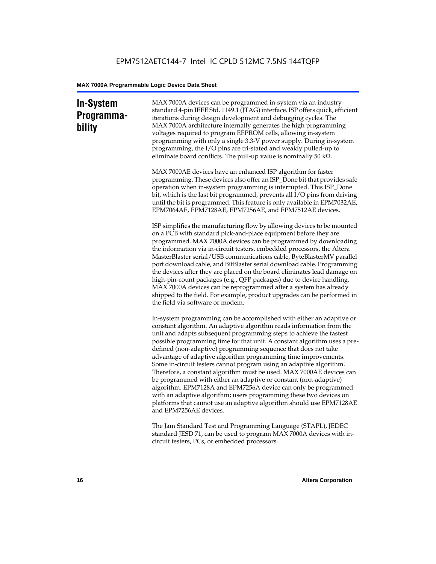## **In-System Programmability**

MAX 7000A devices can be programmed in-system via an industrystandard 4-pin IEEE Std. 1149.1 (JTAG) interface. ISP offers quick, efficient iterations during design development and debugging cycles. The MAX 7000A architecture internally generates the high programming voltages required to program EEPROM cells, allowing in-system programming with only a single 3.3-V power supply. During in-system programming, the I/O pins are tri-stated and weakly pulled-up to eliminate board conflicts. The pull-up value is nominally 50 k $\Omega$ .

MAX 7000AE devices have an enhanced ISP algorithm for faster programming. These devices also offer an ISP\_Done bit that provides safe operation when in-system programming is interrupted. This ISP\_Done bit, which is the last bit programmed, prevents all I/O pins from driving until the bit is programmed. This feature is only available in EPM7032AE, EPM7064AE, EPM7128AE, EPM7256AE, and EPM7512AE devices.

ISP simplifies the manufacturing flow by allowing devices to be mounted on a PCB with standard pick-and-place equipment before they are programmed. MAX 7000A devices can be programmed by downloading the information via in-circuit testers, embedded processors, the Altera MasterBlaster serial/USB communications cable, ByteBlasterMV parallel port download cable, and BitBlaster serial download cable. Programming the devices after they are placed on the board eliminates lead damage on high-pin-count packages (e.g., QFP packages) due to device handling. MAX 7000A devices can be reprogrammed after a system has already shipped to the field. For example, product upgrades can be performed in the field via software or modem.

In-system programming can be accomplished with either an adaptive or constant algorithm. An adaptive algorithm reads information from the unit and adapts subsequent programming steps to achieve the fastest possible programming time for that unit. A constant algorithm uses a predefined (non-adaptive) programming sequence that does not take advantage of adaptive algorithm programming time improvements. Some in-circuit testers cannot program using an adaptive algorithm. Therefore, a constant algorithm must be used. MAX 7000AE devices can be programmed with either an adaptive or constant (non-adaptive) algorithm. EPM7128A and EPM7256A device can only be programmed with an adaptive algorithm; users programming these two devices on platforms that cannot use an adaptive algorithm should use EPM7128AE and EPM7256AE devices.

The Jam Standard Test and Programming Language (STAPL), JEDEC standard JESD 71, can be used to program MAX 7000A devices with incircuit testers, PCs, or embedded processors.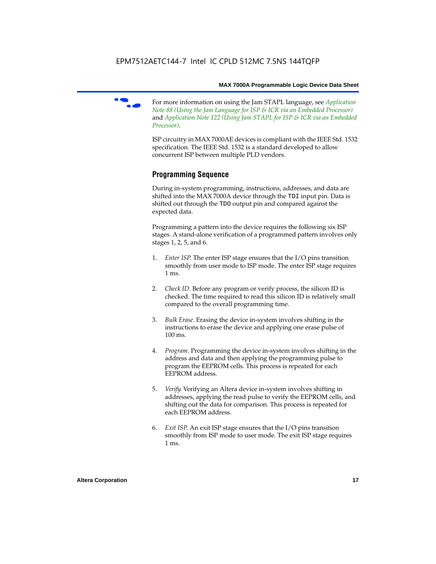

f For more information on using the Jam STAPL language, see *Application Note 88 (Using the Jam Language for ISP & ICR via an Embedded Processor)*  and *Application Note 122 (Using Jam STAPL for ISP & ICR via an Embedded Processor)*.

ISP circuitry in MAX 7000AE devices is compliant with the IEEE Std. 1532 specification. The IEEE Std. 1532 is a standard developed to allow concurrent ISP between multiple PLD vendors.

## **Programming Sequence**

During in-system programming, instructions, addresses, and data are shifted into the MAX 7000A device through the TDI input pin. Data is shifted out through the TDO output pin and compared against the expected data.

Programming a pattern into the device requires the following six ISP stages. A stand-alone verification of a programmed pattern involves only stages 1, 2, 5, and 6.

- 1. *Enter ISP*. The enter ISP stage ensures that the I/O pins transition smoothly from user mode to ISP mode. The enter ISP stage requires 1 ms.
- 2. *Check ID*. Before any program or verify process, the silicon ID is checked. The time required to read this silicon ID is relatively small compared to the overall programming time.
- 3. *Bulk Erase*. Erasing the device in-system involves shifting in the instructions to erase the device and applying one erase pulse of 100 ms.
- 4. *Program*. Programming the device in-system involves shifting in the address and data and then applying the programming pulse to program the EEPROM cells. This process is repeated for each EEPROM address.
- 5. *Verify*. Verifying an Altera device in-system involves shifting in addresses, applying the read pulse to verify the EEPROM cells, and shifting out the data for comparison. This process is repeated for each EEPROM address.
- 6. *Exit ISP*. An exit ISP stage ensures that the I/O pins transition smoothly from ISP mode to user mode. The exit ISP stage requires 1 ms.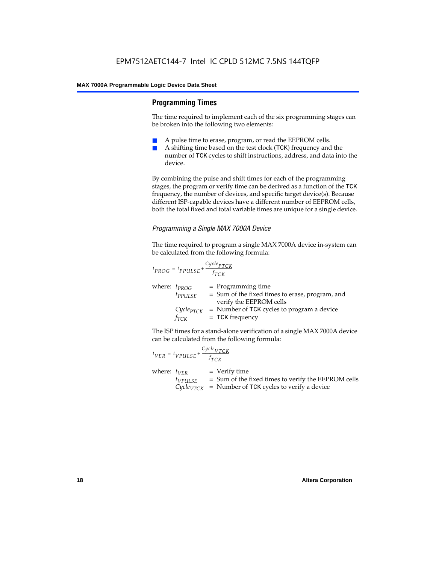## **Programming Times**

The time required to implement each of the six programming stages can be broken into the following two elements:

- A pulse time to erase, program, or read the EEPROM cells.
- A shifting time based on the test clock (TCK) frequency and the number of TCK cycles to shift instructions, address, and data into the device.

By combining the pulse and shift times for each of the programming stages, the program or verify time can be derived as a function of the TCK frequency, the number of devices, and specific target device(s). Because different ISP-capable devices have a different number of EEPROM cells, both the total fixed and total variable times are unique for a single device.

## *Programming a Single MAX 7000A Device*

The time required to program a single MAX 7000A device in-system can be calculated from the following formula:

$$
t_{PROG} = t_{PPULSE} + \frac{c_{ycle_{PTCK}}}{f_{TCK}}
$$
  
where:  $t_{PROG}$  = Programming time  
 $t_{PPULSE}$  = Sum of the fixed times to erase, program, and  
verify the EEPROM cells  
 $C_{ycle_{PTCK}}$  = Number of TCK cycles to program a device  
 $f_{TCK}$  = TCK frequency

The ISP times for a stand-alone verification of a single MAX 7000A device can be calculated from the following formula:

| $t_{VER} = t_{VPULSE} + \frac{Cycle_{VTCK}}{f_{TCK}}$ |                                                                                                                                 |
|-------------------------------------------------------|---------------------------------------------------------------------------------------------------------------------------------|
| where: $t_{VER}$<br>$t_{VPULSE}$                      | $=$ Verify time<br>= Sum of the fixed times to verify the EEPROM cells<br>$CycleVTCK$ = Number of TCK cycles to verify a device |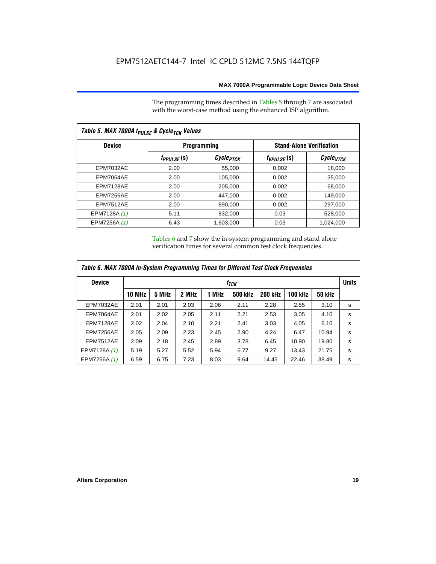The programming times described in Tables 5 through 7 are associated with the worst-case method using the enhanced ISP algorithm.

| Table 5. MAX 7000A t <sub>PULSE</sub> & Cycle <sub>TCK</sub> Values |                 |                             |                 |                                 |  |  |  |  |
|---------------------------------------------------------------------|-----------------|-----------------------------|-----------------|---------------------------------|--|--|--|--|
| <b>Device</b>                                                       |                 | Programming                 |                 | <b>Stand-Alone Verification</b> |  |  |  |  |
|                                                                     | $t_{PPULSE}(s)$ | <i>Cycle<sub>PTCK</sub></i> | $t_{VPULSE}(s)$ | Cycle <sub>VTCK</sub>           |  |  |  |  |
| <b>EPM7032AE</b>                                                    | 2.00            | 55,000                      | 0.002           | 18,000                          |  |  |  |  |
| EPM7064AE                                                           | 2.00            | 105,000                     | 0.002           | 35,000                          |  |  |  |  |
| EPM7128AE                                                           | 2.00            | 205,000                     | 0.002           | 68,000                          |  |  |  |  |
| EPM7256AE                                                           | 2.00            | 447.000                     | 0.002           | 149.000                         |  |  |  |  |
| <b>EPM7512AE</b>                                                    | 2.00            | 890,000                     | 0.002           | 297,000                         |  |  |  |  |
| EPM7128A (1)                                                        | 5.11            | 832.000                     | 0.03            | 528,000                         |  |  |  |  |
| EPM7256A (1)                                                        | 6.43            | 1,603,000                   | 0.03            | 1,024,000                       |  |  |  |  |

Tables 6 and 7 show the in-system programming and stand alone verification times for several common test clock frequencies.

| Table 6. MAX 7000A In-System Programming Times for Different Test Clock Frequencies |               |                  |       |       |                |                |                |               |   |
|-------------------------------------------------------------------------------------|---------------|------------------|-------|-------|----------------|----------------|----------------|---------------|---|
| <b>Device</b>                                                                       |               | t <sub>тск</sub> |       |       |                |                |                |               |   |
|                                                                                     | <b>10 MHz</b> | 5 MHz            | 2 MHz | 1 MHz | <b>500 kHz</b> | <b>200 kHz</b> | <b>100 kHz</b> | <b>50 kHz</b> |   |
| <b>EPM7032AE</b>                                                                    | 2.01          | 2.01             | 2.03  | 2.06  | 2.11           | 2.28           | 2.55           | 3.10          | s |
| EPM7064AE                                                                           | 2.01          | 2.02             | 2.05  | 2.11  | 2.21           | 2.53           | 3.05           | 4.10          | s |
| EPM7128AE                                                                           | 2.02          | 2.04             | 2.10  | 2.21  | 2.41           | 3.03           | 4.05           | 6.10          | s |
| EPM7256AE                                                                           | 2.05          | 2.09             | 2.23  | 2.45  | 2.90           | 4.24           | 6.47           | 10.94         | s |
| <b>EPM7512AE</b>                                                                    | 2.09          | 2.18             | 2.45  | 2.89  | 3.78           | 6.45           | 10.90          | 19.80         | s |
| EPM7128A (1)                                                                        | 5.19          | 5.27             | 5.52  | 5.94  | 6.77           | 9.27           | 13.43          | 21.75         | s |
| EPM7256A (1)                                                                        | 6.59          | 6.75             | 7.23  | 8.03  | 9.64           | 14.45          | 22.46          | 38.49         | s |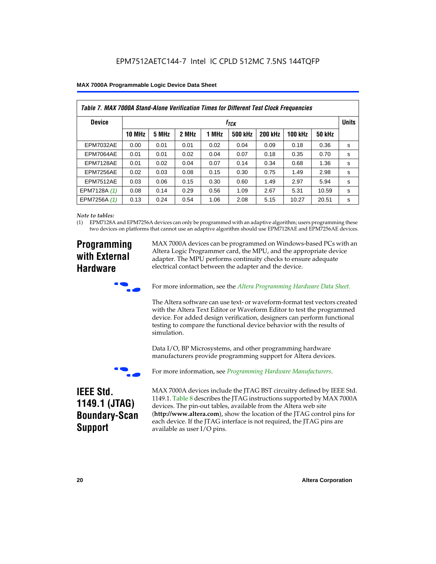| Table 7. MAX 7000A Stand-Alone Verification Times for Different Test Clock Frequencies |               |                           |       |       |                |                |                |               |   |
|----------------------------------------------------------------------------------------|---------------|---------------------------|-------|-------|----------------|----------------|----------------|---------------|---|
| <b>Device</b>                                                                          |               | <b>Units</b><br>$f_{TCK}$ |       |       |                |                |                |               |   |
|                                                                                        | <b>10 MHz</b> | 5 MHz                     | 2 MHz | 1 MHz | <b>500 kHz</b> | <b>200 kHz</b> | <b>100 kHz</b> | <b>50 kHz</b> |   |
| <b>EPM7032AE</b>                                                                       | 0.00          | 0.01                      | 0.01  | 0.02  | 0.04           | 0.09           | 0.18           | 0.36          | s |
| <b>EPM7064AE</b>                                                                       | 0.01          | 0.01                      | 0.02  | 0.04  | 0.07           | 0.18           | 0.35           | 0.70          | s |
| EPM7128AE                                                                              | 0.01          | 0.02                      | 0.04  | 0.07  | 0.14           | 0.34           | 0.68           | 1.36          | s |
| EPM7256AE                                                                              | 0.02          | 0.03                      | 0.08  | 0.15  | 0.30           | 0.75           | 1.49           | 2.98          | s |
| <b>EPM7512AE</b>                                                                       | 0.03          | 0.06                      | 0.15  | 0.30  | 0.60           | 1.49           | 2.97           | 5.94          | s |
| EPM7128A (1)                                                                           | 0.08          | 0.14                      | 0.29  | 0.56  | 1.09           | 2.67           | 5.31           | 10.59         | s |
| EPM7256A (1)                                                                           | 0.13          | 0.24                      | 0.54  | 1.06  | 2.08           | 5.15           | 10.27          | 20.51         | s |

#### *Note to tables:*

(1) EPM7128A and EPM7256A devices can only be programmed with an adaptive algorithm; users programming these two devices on platforms that cannot use an adaptive algorithm should use EPM7128AE and EPM7256AE devices.

## **Programming with External Hardware**

MAX 7000A devices can be programmed on Windows-based PCs with an Altera Logic Programmer card, the MPU, and the appropriate device adapter. The MPU performs continuity checks to ensure adequate electrical contact between the adapter and the device.



For more information, see the *Altera Programming Hardware Data Sheet*.

The Altera software can use text- or waveform-format test vectors created with the Altera Text Editor or Waveform Editor to test the programmed device. For added design verification, designers can perform functional testing to compare the functional device behavior with the results of simulation.

Data I/O, BP Microsystems, and other programming hardware manufacturers provide programming support for Altera devices.



For more information, see *Programming Hardware Manufacturers*.

## **IEEE Std. 1149.1 (JTAG) Boundary-Scan Support**

MAX 7000A devices include the JTAG BST circuitry defined by IEEE Std. 1149.1. Table 8 describes the JTAG instructions supported by MAX 7000A devices. The pin-out tables, available from the Altera web site (**http://www.altera.com**), show the location of the JTAG control pins for each device. If the JTAG interface is not required, the JTAG pins are available as user I/O pins.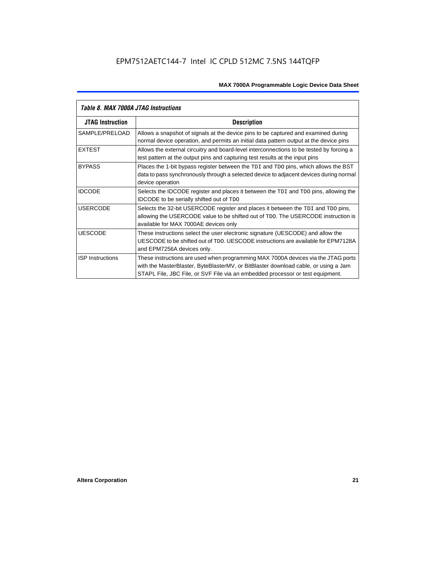| Table 8. MAX 7000A JTAG Instructions |                                                                                                                                                                                                                                                            |  |  |  |  |  |
|--------------------------------------|------------------------------------------------------------------------------------------------------------------------------------------------------------------------------------------------------------------------------------------------------------|--|--|--|--|--|
| <b>JTAG Instruction</b>              | <b>Description</b>                                                                                                                                                                                                                                         |  |  |  |  |  |
| SAMPLE/PRELOAD                       | Allows a snapshot of signals at the device pins to be captured and examined during<br>normal device operation, and permits an initial data pattern output at the device pins                                                                               |  |  |  |  |  |
| <b>EXTEST</b>                        | Allows the external circuitry and board-level interconnections to be tested by forcing a<br>test pattern at the output pins and capturing test results at the input pins                                                                                   |  |  |  |  |  |
| <b>BYPASS</b>                        | Places the 1-bit bypass register between the TDI and TDO pins, which allows the BST<br>data to pass synchronously through a selected device to adjacent devices during normal<br>device operation                                                          |  |  |  |  |  |
| <b>IDCODE</b>                        | Selects the IDCODE register and places it between the TDI and TDO pins, allowing the<br><b>IDCODE</b> to be serially shifted out of TDO                                                                                                                    |  |  |  |  |  |
| <b>USERCODE</b>                      | Selects the 32-bit USERCODE register and places it between the TDI and TDO pins,<br>allowing the USERCODE value to be shifted out of TDO. The USERCODE instruction is<br>available for MAX 7000AE devices only                                             |  |  |  |  |  |
| <b>UESCODE</b>                       | These instructions select the user electronic signature (UESCODE) and allow the<br>UESCODE to be shifted out of TDO, UESCODE instructions are available for EPM7128A<br>and EPM7256A devices only.                                                         |  |  |  |  |  |
| <b>ISP Instructions</b>              | These instructions are used when programming MAX 7000A devices via the JTAG ports<br>with the MasterBlaster, ByteBlasterMV, or BitBlaster download cable, or using a Jam<br>STAPL File, JBC File, or SVF File via an embedded processor or test equipment. |  |  |  |  |  |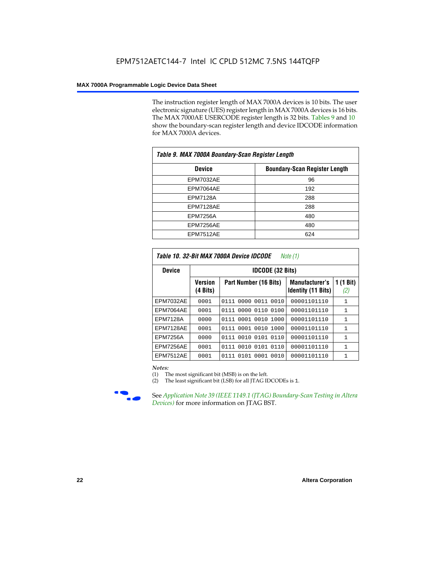The instruction register length of MAX 7000A devices is 10 bits. The user electronic signature (UES) register length in MAX 7000A devices is 16 bits. The MAX 7000AE USERCODE register length is 32 bits. Tables 9 and 10 show the boundary-scan register length and device IDCODE information for MAX 7000A devices.

| Table 9. MAX 7000A Boundary-Scan Register Length |                                      |  |  |  |  |  |
|--------------------------------------------------|--------------------------------------|--|--|--|--|--|
| <b>Device</b>                                    | <b>Boundary-Scan Register Length</b> |  |  |  |  |  |
| <b>EPM7032AE</b>                                 | 96                                   |  |  |  |  |  |
| EPM7064AE                                        | 192                                  |  |  |  |  |  |
| <b>EPM7128A</b>                                  | 288                                  |  |  |  |  |  |
| EPM7128AE                                        | 288                                  |  |  |  |  |  |
| <b>EPM7256A</b>                                  | 480                                  |  |  |  |  |  |
| EPM7256AE                                        | 480                                  |  |  |  |  |  |
| EPM7512AE                                        | 624                                  |  |  |  |  |  |

| Table 10. 32-Bit MAX 7000A Device IDCODE<br>Note (1) |                                                     |                              |                                                    |                               |  |  |  |  |  |  |
|------------------------------------------------------|-----------------------------------------------------|------------------------------|----------------------------------------------------|-------------------------------|--|--|--|--|--|--|
| <b>Device</b>                                        |                                                     | <b>IDCODE (32 Bits)</b>      |                                                    |                               |  |  |  |  |  |  |
|                                                      | <b>Version</b><br>Part Number (16 Bits)<br>(4 Bits) |                              | <b>Manufacturer's</b><br><b>Identity (11 Bits)</b> | $(1 \text{ Bit})$<br>1<br>(2) |  |  |  |  |  |  |
| <b>EPM7032AE</b>                                     | 0001                                                | 0000<br>0011<br>0010<br>0111 | 00001101110                                        | $\mathbf{1}$                  |  |  |  |  |  |  |
| EPM7064AE                                            | 0001                                                | 0000<br>0110<br>0100<br>0111 | 00001101110                                        | $\mathbf{1}$                  |  |  |  |  |  |  |
| <b>EPM7128A</b>                                      | 0000                                                | 0111 0001 0010 1000          | 00001101110                                        | $\mathbf{1}$                  |  |  |  |  |  |  |
| EPM7128AE                                            | 0001                                                | 0111 0001 0010 1000          | 00001101110                                        | $\mathbf{1}$                  |  |  |  |  |  |  |
| <b>EPM7256A</b>                                      | 0000                                                | 0111 0010 0101 0110          | 00001101110                                        | 1                             |  |  |  |  |  |  |
| EPM7256AE                                            | 0001                                                | 0010 0101<br>0110<br>0111    | 00001101110                                        | $\mathbf{1}$                  |  |  |  |  |  |  |
| <b>EPM7512AE</b>                                     | 0001                                                | 0101 0001<br>0010<br>0111    | 00001101110                                        | $\mathbf{1}$                  |  |  |  |  |  |  |

#### *Notes:*

(1) The most significant bit (MSB) is on the left.

(2) The least significant bit (LSB) for all JTAG IDCODEs is 1.



**Figure 39 (IEEE 1149.1 (JTAG) Boundary-Scan Testing in Altera** *Devices)* for more information on JTAG BST.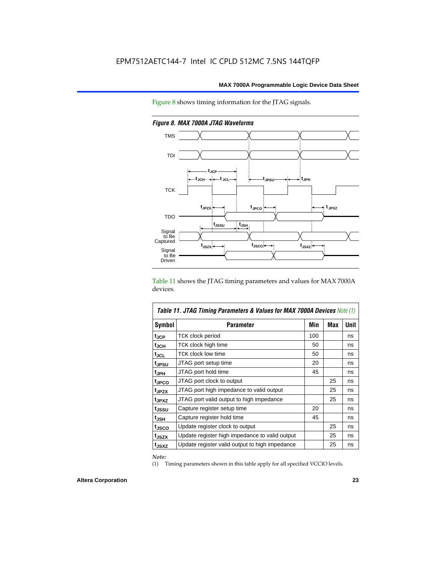Figure 8 shows timing information for the JTAG signals.



*Figure 8. MAX 7000A JTAG Waveforms*

Table 11 shows the JTAG timing parameters and values for MAX 7000A devices.

| <b>Table 11. JTAG Timing Parameters &amp; Values for MAX 7000A Devices Note (1)</b> |                                                |     |     |             |  |  |  |
|-------------------------------------------------------------------------------------|------------------------------------------------|-----|-----|-------------|--|--|--|
| <b>Symbol</b>                                                                       | <b>Parameter</b>                               | Min | Max | <b>Unit</b> |  |  |  |
| t <sub>JCP</sub>                                                                    | TCK clock period                               | 100 |     | ns          |  |  |  |
| tjch                                                                                | TCK clock high time                            | 50  |     | ns          |  |  |  |
| tjcl                                                                                | TCK clock low time                             | 50  |     | ns          |  |  |  |
| tjpsu                                                                               | JTAG port setup time                           | 20  |     | ns          |  |  |  |
| t <sub>JPH</sub>                                                                    | JTAG port hold time                            | 45  |     | ns          |  |  |  |
| tjpco                                                                               | JTAG port clock to output                      |     | 25  | ns          |  |  |  |
| t <sub>JPZX</sub>                                                                   | JTAG port high impedance to valid output       |     | 25  | ns          |  |  |  |
| t <sub>JPXZ</sub>                                                                   | JTAG port valid output to high impedance       |     | 25  | ns          |  |  |  |
| tjssu                                                                               | Capture register setup time                    | 20  |     | ns          |  |  |  |
| t <sub>JSH</sub>                                                                    | Capture register hold time                     | 45  |     | ns          |  |  |  |
| t <sub>JSCO</sub>                                                                   | Update register clock to output                |     | 25  | ns          |  |  |  |
| t <sub>JSZX</sub>                                                                   | Update register high impedance to valid output |     | 25  | ns          |  |  |  |
| t <sub>JSXZ</sub>                                                                   | Update register valid output to high impedance |     | 25  | ns          |  |  |  |

*Note:*

(1) Timing parameters shown in this table apply for all specified VCCIO levels.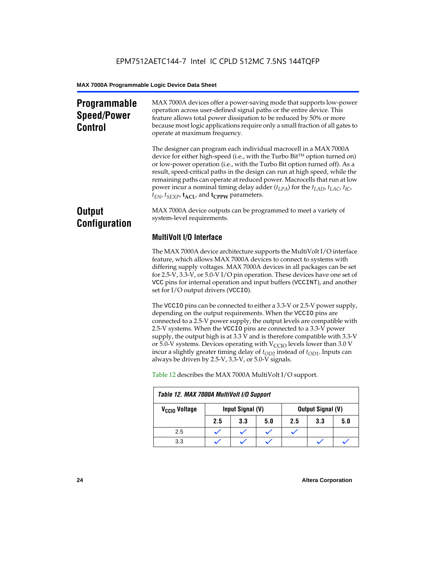## **Programmable Speed/Power Control**

MAX 7000A devices offer a power-saving mode that supports low-power operation across user-defined signal paths or the entire device. This feature allows total power dissipation to be reduced by 50% or more because most logic applications require only a small fraction of all gates to operate at maximum frequency.

The designer can program each individual macrocell in a MAX 7000A device for either high-speed (i.e., with the Turbo  $Bit^{TM}$  option turned on) or low-power operation (i.e., with the Turbo Bit option turned off). As a result, speed-critical paths in the design can run at high speed, while the remaining paths can operate at reduced power. Macrocells that run at low power incur a nominal timing delay adder (*tLPA*) for the *tLAD*, *tLAC*, *tIC*,  $t_{EN}$ ,  $t_{SEXP}$ ,  $t_{ACL}$ , and  $t_{CPPW}$  parameters.

## **Output Configuration**

MAX 7000A device outputs can be programmed to meet a variety of system-level requirements.

## **MultiVolt I/O Interface**

The MAX 7000A device architecture supports the MultiVolt I/O interface feature, which allows MAX 7000A devices to connect to systems with differing supply voltages. MAX 7000A devices in all packages can be set for 2.5-V, 3.3-V, or 5.0-V I/O pin operation. These devices have one set of VCC pins for internal operation and input buffers (VCCINT), and another set for I/O output drivers (VCCIO).

The VCCIO pins can be connected to either a 3.3-V or 2.5-V power supply, depending on the output requirements. When the VCCIO pins are connected to a 2.5-V power supply, the output levels are compatible with 2.5-V systems. When the VCCIO pins are connected to a 3.3-V power supply, the output high is at 3.3 V and is therefore compatible with 3.3-V or 5.0-V systems. Devices operating with  $V_{\text{CCIO}}$  levels lower than 3.0 V incur a slightly greater timing delay of  $t_{OD2}$  instead of  $t_{OD1}$ . Inputs can always be driven by 2.5-V, 3.3-V, or 5.0-V signals.

| Table 12. MAX 7000A MultiVolt I/O Support |     |                                              |     |     |     |     |
|-------------------------------------------|-----|----------------------------------------------|-----|-----|-----|-----|
| V <sub>CCIO</sub> Voltage                 |     | Input Signal (V)<br><b>Output Signal (V)</b> |     |     |     |     |
|                                           | 2.5 | 3.3                                          | 5.0 | 2.5 | 3.3 | 5.0 |
| 2.5                                       |     |                                              |     |     |     |     |
| 3.3                                       |     |                                              |     |     |     |     |

Table 12 describes the MAX 7000A MultiVolt I/O support.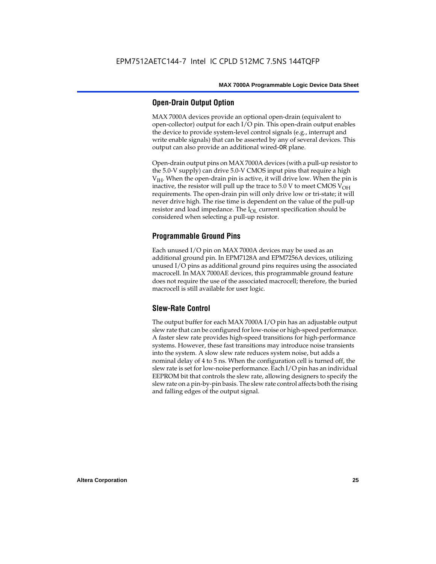## **Open-Drain Output Option**

MAX 7000A devices provide an optional open-drain (equivalent to open-collector) output for each I/O pin. This open-drain output enables the device to provide system-level control signals (e.g., interrupt and write enable signals) that can be asserted by any of several devices. This output can also provide an additional wired-OR plane.

Open-drain output pins on MAX 7000A devices (with a pull-up resistor to the 5.0-V supply) can drive 5.0-V CMOS input pins that require a high  $V<sub>IH</sub>$ . When the open-drain pin is active, it will drive low. When the pin is inactive, the resistor will pull up the trace to  $5.0$  V to meet CMOS V<sub>OH</sub> requirements. The open-drain pin will only drive low or tri-state; it will never drive high. The rise time is dependent on the value of the pull-up resistor and load impedance. The  $I_{OL}$  current specification should be considered when selecting a pull-up resistor.

## **Programmable Ground Pins**

Each unused I/O pin on MAX 7000A devices may be used as an additional ground pin. In EPM7128A and EPM7256A devices, utilizing unused I/O pins as additional ground pins requires using the associated macrocell. In MAX 7000AE devices, this programmable ground feature does not require the use of the associated macrocell; therefore, the buried macrocell is still available for user logic.

## **Slew-Rate Control**

The output buffer for each MAX 7000A I/O pin has an adjustable output slew rate that can be configured for low-noise or high-speed performance. A faster slew rate provides high-speed transitions for high-performance systems. However, these fast transitions may introduce noise transients into the system. A slow slew rate reduces system noise, but adds a nominal delay of 4 to 5 ns. When the configuration cell is turned off, the slew rate is set for low-noise performance. Each I/O pin has an individual EEPROM bit that controls the slew rate, allowing designers to specify the slew rate on a pin-by-pin basis. The slew rate control affects both the rising and falling edges of the output signal.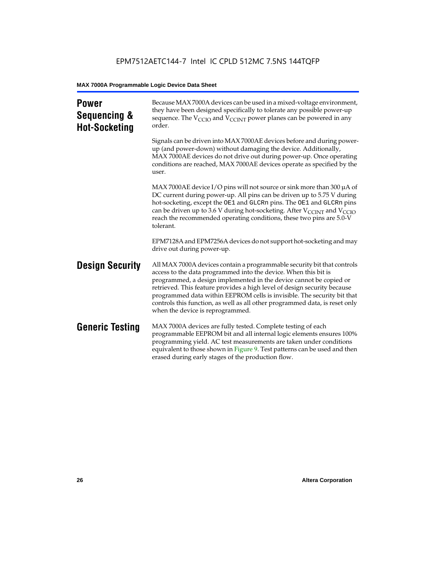| <b>Power</b><br>Sequencing &<br><b>Hot-Socketing</b> | Because MAX 7000A devices can be used in a mixed-voltage environment,<br>they have been designed specifically to tolerate any possible power-up<br>sequence. The $V_{\text{CCIO}}$ and $V_{\text{CCINT}}$ power planes can be powered in any<br>order.                                                                                                                                                                                                                                     |
|------------------------------------------------------|--------------------------------------------------------------------------------------------------------------------------------------------------------------------------------------------------------------------------------------------------------------------------------------------------------------------------------------------------------------------------------------------------------------------------------------------------------------------------------------------|
|                                                      | Signals can be driven into MAX 7000AE devices before and during power-<br>up (and power-down) without damaging the device. Additionally,<br>MAX 7000AE devices do not drive out during power-up. Once operating<br>conditions are reached, MAX 7000AE devices operate as specified by the<br>user.                                                                                                                                                                                         |
|                                                      | MAX 7000AE device I/O pins will not source or sink more than 300 $\mu$ A of<br>DC current during power-up. All pins can be driven up to 5.75 V during<br>hot-socketing, except the OE1 and GLCRn pins. The OE1 and GLCRn pins<br>can be driven up to 3.6 V during hot-socketing. After $V_{\text{CCINT}}$ and $V_{\text{CCIO}}$<br>reach the recommended operating conditions, these two pins are 5.0-V<br>tolerant.                                                                       |
|                                                      | EPM7128A and EPM7256A devices do not support hot-socketing and may<br>drive out during power-up.                                                                                                                                                                                                                                                                                                                                                                                           |
| <b>Design Security</b>                               | All MAX 7000A devices contain a programmable security bit that controls<br>access to the data programmed into the device. When this bit is<br>programmed, a design implemented in the device cannot be copied or<br>retrieved. This feature provides a high level of design security because<br>programmed data within EEPROM cells is invisible. The security bit that<br>controls this function, as well as all other programmed data, is reset only<br>when the device is reprogrammed. |
| <b>Generic Testing</b>                               | MAX 7000A devices are fully tested. Complete testing of each<br>programmable EEPROM bit and all internal logic elements ensures 100%<br>programming yield. AC test measurements are taken under conditions<br>equivalent to those shown in Figure 9. Test patterns can be used and then<br>erased during early stages of the production flow.                                                                                                                                              |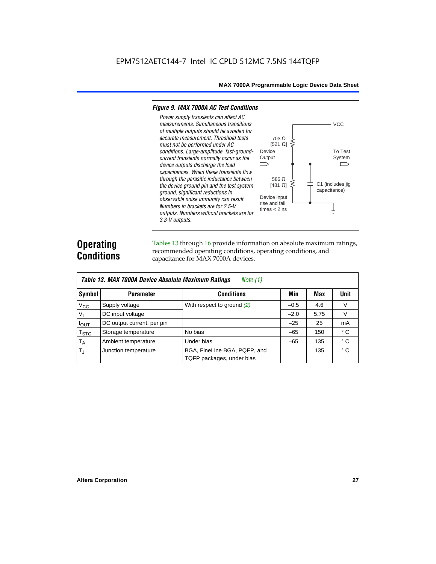#### *Figure 9. MAX 7000A AC Test Conditions*

*3.3-V outputs.*



## **Operating Conditions**

Tables 13 through 16 provide information on absolute maximum ratings, recommended operating conditions, operating conditions, and capacitance for MAX 7000A devices.

|                            | Table 13. MAX 7000A Device Absolute Maximum Ratings<br>Note $(1)$ |                                                           |        |      |              |  |  |  |  |  |  |
|----------------------------|-------------------------------------------------------------------|-----------------------------------------------------------|--------|------|--------------|--|--|--|--|--|--|
| Symbol                     | <b>Parameter</b>                                                  | Conditions                                                | Min    | Max  | Unit         |  |  |  |  |  |  |
| $V_{CC}$                   | Supply voltage                                                    | With respect to ground (2)                                | $-0.5$ | 4.6  | V            |  |  |  |  |  |  |
| V <sub>1</sub>             | DC input voltage                                                  |                                                           | $-2.0$ | 5.75 | $\vee$       |  |  |  |  |  |  |
| $I_{OUT}$                  | DC output current, per pin                                        |                                                           | $-25$  | 25   | mA           |  |  |  |  |  |  |
| $T_{\footnotesize\rm STG}$ | Storage temperature                                               | No bias                                                   | $-65$  | 150  | $^{\circ}$ C |  |  |  |  |  |  |
| $T_A$                      | Ambient temperature                                               | Under bias                                                | $-65$  | 135  | $^{\circ}$ C |  |  |  |  |  |  |
| $T_{\rm d}$                | Junction temperature                                              | BGA, FineLine BGA, PQFP, and<br>TQFP packages, under bias |        | 135  | $^{\circ}$ C |  |  |  |  |  |  |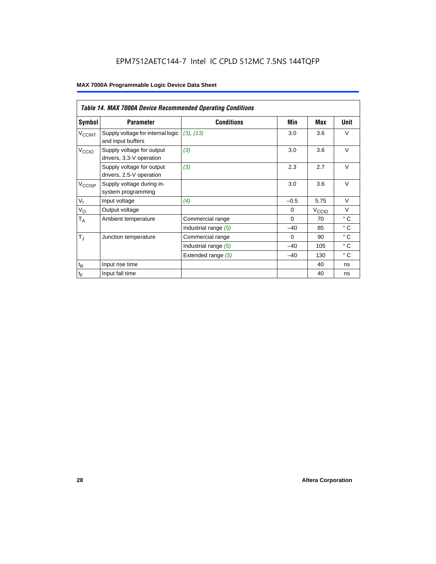## EPM7512AETC144-7 Intel IC CPLD 512MC 7.5NS 144TQFP

|                          | <b>Table 14. MAX 7000A Device Recommended Operating Conditions</b> |                      |          |                   |              |  |  |  |  |  |  |
|--------------------------|--------------------------------------------------------------------|----------------------|----------|-------------------|--------------|--|--|--|--|--|--|
| Symbol                   | <b>Parameter</b>                                                   | <b>Conditions</b>    | Min      | Max               | Unit         |  |  |  |  |  |  |
| <b>V<sub>CCINT</sub></b> | Supply voltage for internal logic<br>and input buffers             | (3), (13)            | 3.0      | 3.6               | $\vee$       |  |  |  |  |  |  |
| V <sub>CCIO</sub>        | Supply voltage for output<br>drivers, 3.3-V operation              | (3)                  | 3.0      | 3.6               | $\vee$       |  |  |  |  |  |  |
|                          | Supply voltage for output<br>drivers, 2.5-V operation              | (3)                  | 2.3      | 2.7               | $\vee$       |  |  |  |  |  |  |
| $V_{\text{CCISP}}$       | Supply voltage during in-<br>system programming                    |                      | 3.0      | 3.6               | $\vee$       |  |  |  |  |  |  |
| $V_{I}$                  | Input voltage                                                      | (4)                  | $-0.5$   | 5.75              | $\vee$       |  |  |  |  |  |  |
| $V_{\rm O}$              | Output voltage                                                     |                      | $\Omega$ | V <sub>ccio</sub> | $\vee$       |  |  |  |  |  |  |
| $T_A$                    | Ambient temperature                                                | Commercial range     | $\Omega$ | 70                | $^{\circ}$ C |  |  |  |  |  |  |
|                          |                                                                    | Industrial range (5) | $-40$    | 85                | $^{\circ}$ C |  |  |  |  |  |  |
| $T_{\rm J}$              | Junction temperature                                               | Commercial range     | $\Omega$ | 90                | $^{\circ}$ C |  |  |  |  |  |  |
|                          |                                                                    | Industrial range (5) | $-40$    | 105               | $^{\circ}$ C |  |  |  |  |  |  |
|                          |                                                                    | Extended range (5)   | $-40$    | 130               | $^{\circ}$ C |  |  |  |  |  |  |
| $t_{\mathsf{R}}$         | Input rise time                                                    |                      |          | 40                | ns           |  |  |  |  |  |  |
| $t_F$                    | Input fall time                                                    |                      |          | 40                | ns           |  |  |  |  |  |  |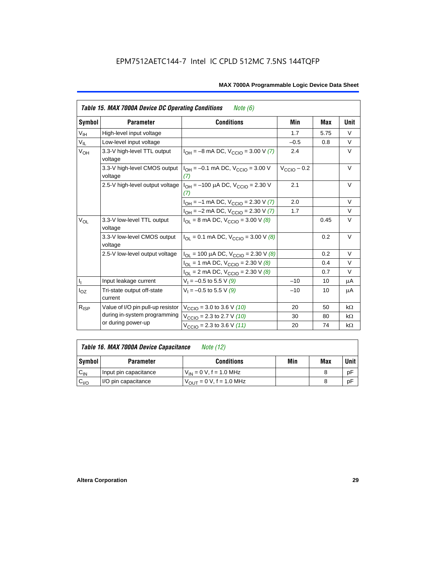|                 | <b>Table 15. MAX 7000A Device DC Operating Conditions</b> | <i>Note</i> $(6)$                                                                      |                         |      |           |
|-----------------|-----------------------------------------------------------|----------------------------------------------------------------------------------------|-------------------------|------|-----------|
| Symbol          | <b>Parameter</b>                                          | <b>Conditions</b>                                                                      | Min                     | Max  | Unit      |
| $V_{\text{IH}}$ | High-level input voltage                                  |                                                                                        | 1.7                     | 5.75 | $\vee$    |
| $V_{IL}$        | Low-level input voltage                                   |                                                                                        | $-0.5$                  | 0.8  | V         |
| V <sub>OH</sub> | 3.3-V high-level TTL output<br>voltage                    | $I_{OH} = -8$ mA DC, $V_{CCIO} = 3.00$ V (7)                                           | 2.4                     |      | V         |
|                 | 3.3-V high-level CMOS output<br>voltage                   | $I_{OH} = -0.1$ mA DC, $V_{CCIO} = 3.00$ V<br>(7)                                      | $V_{\text{CCIO}} - 0.2$ |      | $\vee$    |
|                 |                                                           | 2.5-V high-level output voltage $ I_{OH} = -100 \mu A DC$ , $V_{CClO} = 2.30 V$<br>(7) | 2.1                     |      | V         |
|                 |                                                           | $I_{OH} = -1$ mA DC, $V_{CCIO} = 2.30$ V (7)                                           | 2.0                     |      | $\vee$    |
|                 |                                                           | $I_{OH} = -2$ mA DC, $V_{CCIO} = 2.30$ V (7)                                           | 1.7                     |      | $\vee$    |
| $V_{OL}$        | 3.3-V low-level TTL output<br>voltage                     | $I_{\text{OI}}$ = 8 mA DC, $V_{\text{CCl}}$ = 3.00 V (8)                               |                         | 0.45 | $\vee$    |
|                 | 3.3-V low-level CMOS output<br>voltage                    | $I_{\text{OI}} = 0.1 \text{ mA DC}$ , $V_{\text{CCl}} = 3.00 \text{ V}$ (8)            |                         | 0.2  | V         |
|                 | 2.5-V low-level output voltage                            | $I_{OL}$ = 100 µA DC, $V_{CCIO}$ = 2.30 V (8)                                          |                         | 0.2  | $\vee$    |
|                 |                                                           | $I_{OL}$ = 1 mA DC, $V_{CCIO}$ = 2.30 V (8)                                            |                         | 0.4  | $\vee$    |
|                 |                                                           | $I_{OL}$ = 2 mA DC, $V_{CCIO}$ = 2.30 V (8)                                            |                         | 0.7  | $\vee$    |
|                 | Input leakage current                                     | $V_1 = -0.5$ to 5.5 V (9)                                                              | $-10$                   | 10   | μA        |
| $I_{OZ}$        | Tri-state output off-state<br>current                     | $V_1 = -0.5$ to 5.5 V (9)                                                              | $-10$                   | 10   | μA        |
| $R_{ISP}$       | Value of I/O pin pull-up resistor                         | $V_{\text{CCIO}}$ = 3.0 to 3.6 V (10)                                                  | 20                      | 50   | $k\Omega$ |
|                 | during in-system programming                              | $V_{\text{CCIO}}$ = 2.3 to 2.7 V (10)                                                  | 30                      | 80   | $k\Omega$ |
|                 | or during power-up                                        | $V_{\text{CCIO}} = 2.3$ to 3.6 V (11)                                                  | 20                      | 74   | $k\Omega$ |

| Table 16. MAX 7000A Device Capacitance | Note (12) |
|----------------------------------------|-----------|
|                                        |           |

| Symbol    | <b>Parameter</b>      | <b>Conditions</b>                   | Min | Max | Unit |
|-----------|-----------------------|-------------------------------------|-----|-----|------|
| $C_{IN}$  | Input pin capacitance | $V_{IN} = 0$ V, f = 1.0 MHz         |     |     | рF   |
| $v_{1/0}$ | I/O pin capacitance   | $V_{\text{OUT}} = 0 V, f = 1.0 MHz$ |     |     | рF   |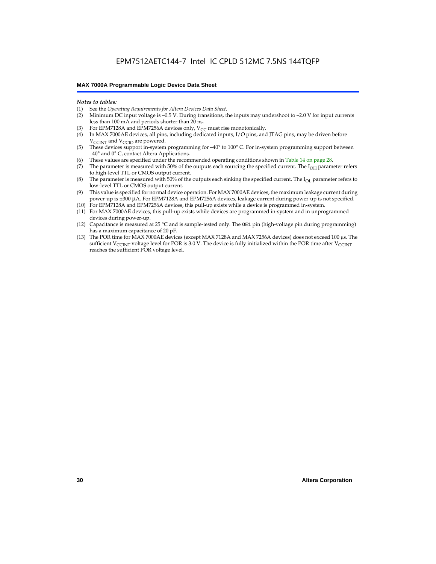#### *Notes to tables:*

- (1) See the *Operating Requirements for Altera Devices Data Sheet.*
- Minimum DC input voltage is –0.5 V. During transitions, the inputs may undershoot to –2.0 V for input currents less than 100 mA and periods shorter than 20 ns.
- (3) For EPM7128A and EPM7256A devices only,  $V_{CC}$  must rise monotonically.
- (4) In MAX 7000AE devices, all pins, including dedicated inputs, I/O pins, and JTAG pins, may be driven before V<sub>CCINT</sub> and V<sub>CCIO</sub> are powered.
- (5) These devices support in-system programming for –40° to 100° C. For in-system programming support between –40° and 0° C, contact Altera Applications.
- (6) These values are specified under the recommended operating conditions shown in Table 14 on page 28.
- (7) The parameter is measured with 50% of the outputs each sourcing the specified current. The  $I_{OH}$  parameter refers to high-level TTL or CMOS output current.
- (8) The parameter is measured with 50% of the outputs each sinking the specified current. The  $I_{OL}$  parameter refers to low-level TTL or CMOS output current.
- (9) This value is specified for normal device operation. For MAX 7000AE devices, the maximum leakage current during power-up is ±300 µA. For EPM7128A and EPM7256A devices, leakage current during power-up is not specified.
- (10) For EPM7128A and EPM7256A devices, this pull-up exists while a device is programmed in-system.
- (11) For MAX 7000AE devices, this pull-up exists while devices are programmed in-system and in unprogrammed devices during power-up.
- (12) Capacitance is measured at 25 °C and is sample-tested only. The OE1 pin (high-voltage pin during programming) has a maximum capacitance of 20 pF.
- (13) The POR time for MAX 7000AE devices (except MAX 7128A and MAX 7256A devices) does not exceed 100 µs. The sufficient V<sub>CCINT</sub> voltage level for POR is 3.0 V. The device is fully initialized within the POR time after V<sub>CCINT</sub> reaches the sufficient POR voltage level.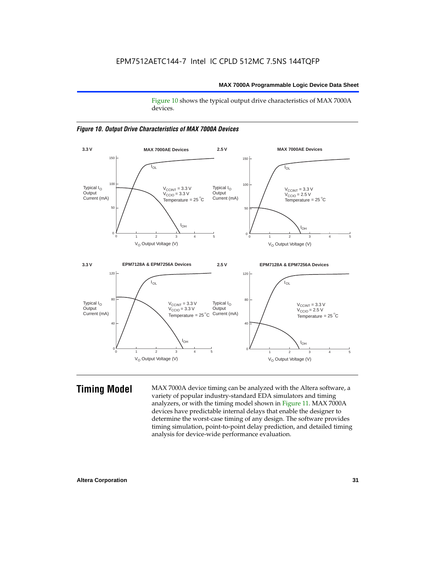Figure 10 shows the typical output drive characteristics of MAX 7000A devices.





**Timing Model** MAX 7000A device timing can be analyzed with the Altera software, a variety of popular industry-standard EDA simulators and timing analyzers, or with the timing model shown in Figure 11. MAX 7000A devices have predictable internal delays that enable the designer to determine the worst-case timing of any design. The software provides timing simulation, point-to-point delay prediction, and detailed timing analysis for device-wide performance evaluation.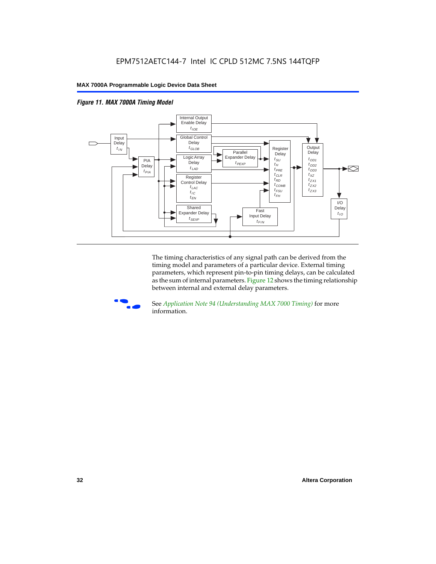



The timing characteristics of any signal path can be derived from the timing model and parameters of a particular device. External timing parameters, which represent pin-to-pin timing delays, can be calculated as the sum of internal parameters. Figure 12 shows the timing relationship between internal and external delay parameters.



f See *Application Note 94 (Understanding MAX 7000 Timing)* for more information.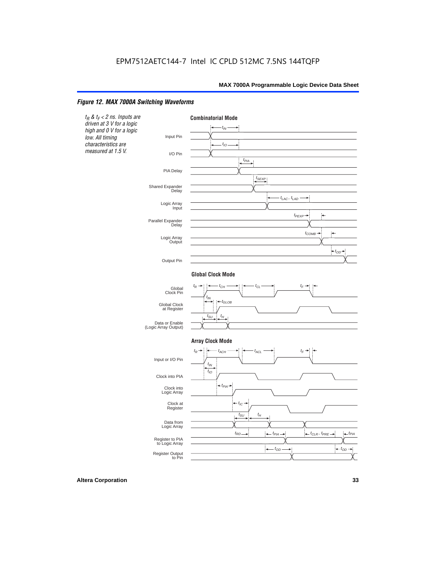#### *Figure 12. MAX 7000A Switching Waveforms*

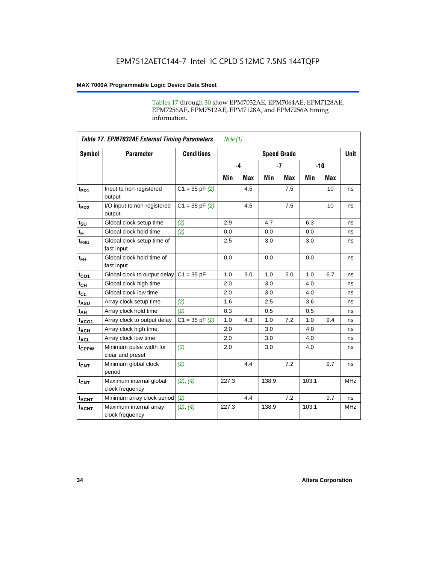Tables 17 through 30 show EPM7032AE, EPM7064AE, EPM7128AE, EPM7256AE, EPM7512AE, EPM7128A, and EPM7256A timing information.

|                         | <b>Table 17. EPM7032AE External Timing Parameters</b><br>Note $(1)$ |                   |       |            |                    |            |       |     |             |  |  |
|-------------------------|---------------------------------------------------------------------|-------------------|-------|------------|--------------------|------------|-------|-----|-------------|--|--|
| Symbol                  | <b>Parameter</b>                                                    | <b>Conditions</b> |       |            | <b>Speed Grade</b> |            |       |     | <b>Unit</b> |  |  |
|                         |                                                                     |                   |       | $-4$       | $-7$               |            | $-10$ |     |             |  |  |
|                         |                                                                     |                   | Min   | <b>Max</b> | Min                | <b>Max</b> | Min   | Max |             |  |  |
| t <sub>PD1</sub>        | Input to non-registered<br>output                                   | $C1 = 35 pF(2)$   |       | 4.5        |                    | 7.5        |       | 10  | ns          |  |  |
| $t_{PD2}$               | I/O input to non-registered<br>output                               | $C1 = 35 pF(2)$   |       | 4.5        |                    | 7.5        |       | 10  | ns          |  |  |
| $t_{\text{SU}}$         | Global clock setup time                                             | (2)               | 2.9   |            | 4.7                |            | 6.3   |     | ns          |  |  |
| $t_H$                   | Global clock hold time                                              | (2)               | 0.0   |            | 0.0                |            | 0.0   |     | ns          |  |  |
| t <sub>FSU</sub>        | Global clock setup time of<br>fast input                            |                   | 2.5   |            | 3.0                |            | 3.0   |     | ns          |  |  |
| $t_{FH}$                | Global clock hold time of<br>fast input                             |                   | 0.0   |            | 0.0                |            | 0.0   |     | ns          |  |  |
| $t_{CO1}$               | Global clock to output delay                                        | $C1 = 35 pF$      | 1.0   | 3.0        | 1.0                | 5.0        | 1.0   | 6.7 | ns          |  |  |
| $t_{CH}$                | Global clock high time                                              |                   | 2.0   |            | 3.0                |            | 4.0   |     | ns          |  |  |
| $t_{CL}$                | Global clock low time                                               |                   | 2.0   |            | 3.0                |            | 4.0   |     | ns          |  |  |
| t <sub>ASU</sub>        | Array clock setup time                                              | (2)               | 1.6   |            | 2.5                |            | 3.6   |     | ns          |  |  |
| t <sub>AH</sub>         | Array clock hold time                                               | (2)               | 0.3   |            | 0.5                |            | 0.5   |     | ns          |  |  |
| t <sub>ACO1</sub>       | Array clock to output delay                                         | $C1 = 35 pF(2)$   | 1.0   | 4.3        | 1.0                | 7.2        | 1.0   | 9.4 | ns          |  |  |
| $t_{ACH}$               | Array clock high time                                               |                   | 2.0   |            | 3.0                |            | 4.0   |     | ns          |  |  |
| $t_{ACL}$               | Array clock low time                                                |                   | 2.0   |            | 3.0                |            | 4.0   |     | ns          |  |  |
| tcPPW                   | Minimum pulse width for<br>clear and preset                         | (3)               | 2.0   |            | 3.0                |            | 4.0   |     | ns          |  |  |
| $t_{CNT}$               | Minimum global clock<br>period                                      | (2)               |       | 4.4        |                    | 7.2        |       | 9.7 | ns          |  |  |
| $f_{\mathsf{CNT}}$      | Maximum internal global<br>clock frequency                          | (2), (4)          | 227.3 |            | 138.9              |            | 103.1 |     | <b>MHz</b>  |  |  |
| <b>t<sub>ACNT</sub></b> | Minimum array clock period                                          | (2)               |       | 4.4        |                    | 7.2        |       | 9.7 | ns          |  |  |
| $f_{ACNT}$              | Maximum internal array<br>clock frequency                           | (2), (4)          | 227.3 |            | 138.9              |            | 103.1 |     | <b>MHz</b>  |  |  |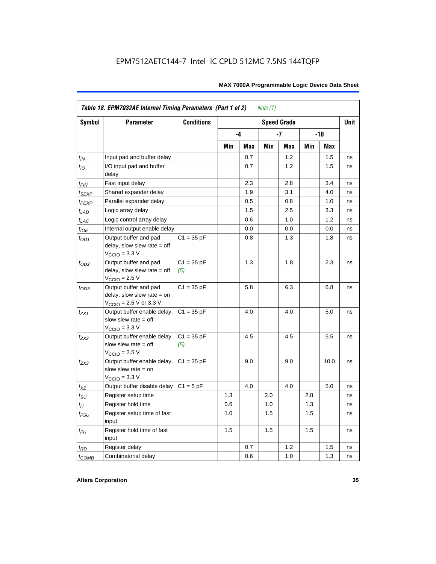|                    | Table 18. EPM7032AE Internal Timing Parameters (Part 1 of 2)<br>Note $(1)$                                   |                     |     |            |     |                    |     |      |             |  |  |
|--------------------|--------------------------------------------------------------------------------------------------------------|---------------------|-----|------------|-----|--------------------|-----|------|-------------|--|--|
| <b>Symbol</b>      | <b>Parameter</b>                                                                                             | <b>Conditions</b>   |     |            |     | <b>Speed Grade</b> |     |      | <b>Unit</b> |  |  |
|                    |                                                                                                              |                     |     | -4         |     | -7                 |     | -10  |             |  |  |
|                    |                                                                                                              |                     | Min | <b>Max</b> | Min | Max                | Min | Max  |             |  |  |
| $t_{IN}$           | Input pad and buffer delay                                                                                   |                     |     | 0.7        |     | 1.2                |     | 1.5  | ns          |  |  |
| $t_{IO}$           | I/O input pad and buffer<br>delay                                                                            |                     |     | 0.7        |     | 1.2                |     | 1.5  | ns          |  |  |
| $t_{\sf FIN}$      | Fast input delay                                                                                             |                     |     | 2.3        |     | 2.8                |     | 3.4  | ns          |  |  |
| $t_{SEXP}$         | Shared expander delay                                                                                        |                     |     | 1.9        |     | 3.1                |     | 4.0  | ns          |  |  |
| t <sub>PEXP</sub>  | Parallel expander delay                                                                                      |                     |     | 0.5        |     | 0.8                |     | 1.0  | ns          |  |  |
| $t_{LAD}$          | Logic array delay                                                                                            |                     |     | 1.5        |     | 2.5                |     | 3.3  | ns          |  |  |
| $t_{LAC}$          | Logic control array delay                                                                                    |                     |     | 0.6        |     | 1.0                |     | 1.2  | ns          |  |  |
| $t_{IOE}$          | Internal output enable delay                                                                                 |                     |     | 0.0        |     | 0.0                |     | 0.0  | ns          |  |  |
| $t_{OD1}$          | Output buffer and pad<br>delay, slow slew rate $=$ off<br>$V_{\text{CCIO}} = 3.3 \text{ V}$                  | $C1 = 35 pF$        |     | 0.8        |     | 1.3                |     | 1.8  | ns          |  |  |
| $t_{OD2}$          | Output buffer and pad<br>delay, slow slew rate $=$ off<br>$V_{\text{CCIO}}$ = 2.5 V                          | $C1 = 35 pF$<br>(5) |     | 1.3        |     | 1.8                |     | 2.3  | ns          |  |  |
| $t_{OD3}$          | Output buffer and pad<br>delay, slow slew rate $=$ on<br>$V_{\text{CCIO}} = 2.5 \text{ V or } 3.3 \text{ V}$ | $C1 = 35 pF$        |     | 5.8        |     | 6.3                |     | 6.8  | ns          |  |  |
| $t_{ZX1}$          | Output buffer enable delay,<br>slow slew rate $=$ off<br>$V_{\text{CCIO}} = 3.3 \text{ V}$                   | $C1 = 35 pF$        |     | 4.0        |     | 4.0                |     | 5.0  | ns          |  |  |
| $t_{ZX2}$          | Output buffer enable delay,<br>slow slew rate $=$ off<br>$V_{\text{CCIO}}$ = 2.5 V                           | $C1 = 35 pF$<br>(5) |     | 4.5        |     | 4.5                |     | 5.5  | ns          |  |  |
| $t_{ZX3}$          | Output buffer enable delay,<br>slow slew rate $=$ on<br>$V_{\text{CCIO}} = 3.3 \text{ V}$                    | $C1 = 35 pF$        |     | 9.0        |     | 9.0                |     | 10.0 | ns          |  |  |
| $t_{\mathsf{XZ}}$  | Output buffer disable delay                                                                                  | $C1 = 5pF$          |     | 4.0        |     | 4.0                |     | 5.0  | ns          |  |  |
| $t_{\text{SU}}$    | Register setup time                                                                                          |                     | 1.3 |            | 2.0 |                    | 2.8 |      | ns          |  |  |
| $t_H$              | Register hold time                                                                                           |                     | 0.6 |            | 1.0 |                    | 1.3 |      | ns          |  |  |
| $t_{\mathit{FSU}}$ | Register setup time of fast<br>input                                                                         |                     | 1.0 |            | 1.5 |                    | 1.5 |      | ns          |  |  |
| $t_{FH}$           | Register hold time of fast<br>input                                                                          |                     | 1.5 |            | 1.5 |                    | 1.5 |      | ns          |  |  |
| $t_{RD}$           | Register delay                                                                                               |                     |     | 0.7        |     | 1.2                |     | 1.5  | ns          |  |  |
| $t_{COMB}$         | Combinatorial delay                                                                                          |                     |     | 0.6        |     | 1.0                |     | 1.3  | ns          |  |  |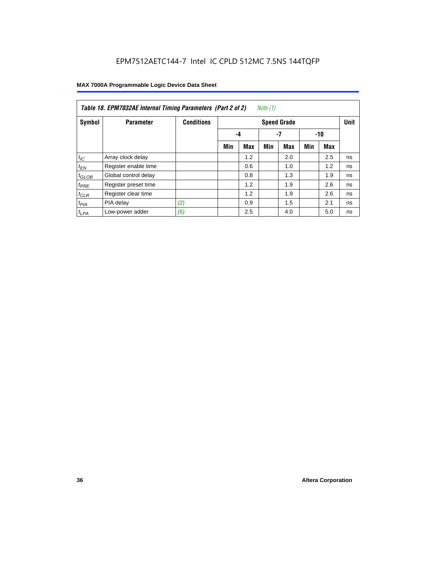|                  | Table 18. EPM7032AE Internal Timing Parameters (Part 2 of 2)<br>Note (1) |                   |                    |     |     |     |     |     |    |  |  |
|------------------|--------------------------------------------------------------------------|-------------------|--------------------|-----|-----|-----|-----|-----|----|--|--|
| Symbol           | <b>Parameter</b>                                                         | <b>Conditions</b> | <b>Speed Grade</b> |     |     |     |     |     |    |  |  |
|                  |                                                                          |                   |                    | -4  |     | -7  |     | -10 |    |  |  |
|                  |                                                                          |                   | Min                | Max | Min | Max | Min | Max |    |  |  |
| $t_{IC}$         | Array clock delay                                                        |                   |                    | 1.2 |     | 2.0 |     | 2.5 | ns |  |  |
| $t_{EN}$         | Register enable time                                                     |                   |                    | 0.6 |     | 1.0 |     | 1.2 | ns |  |  |
| $t_{GLOB}$       | Global control delay                                                     |                   |                    | 0.8 |     | 1.3 |     | 1.9 | ns |  |  |
| $t_{PRE}$        | Register preset time                                                     |                   |                    | 1.2 |     | 1.9 |     | 2.6 | ns |  |  |
| $t_{CLR}$        | Register clear time                                                      |                   |                    | 1.2 |     | 1.9 |     | 2.6 | ns |  |  |
| t <sub>PIA</sub> | PIA delay                                                                | (2)               |                    | 0.9 |     | 1.5 |     | 2.1 | ns |  |  |
| $t_{LPA}$        | Low-power adder                                                          | (6)               |                    | 2.5 |     | 4.0 |     | 5.0 | ns |  |  |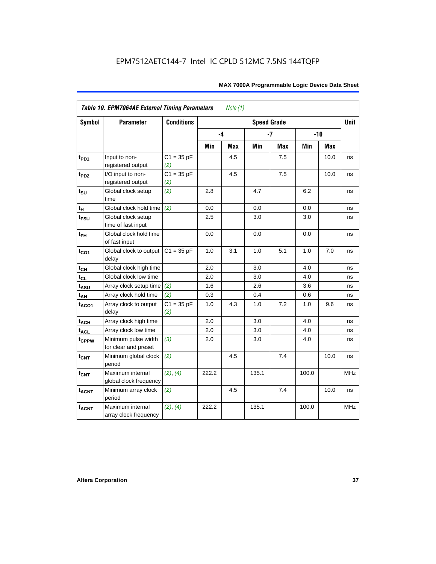| Symbol                 | <b>Parameter</b>                            | <b>Conditions</b>   |       |            | <b>Speed Grade</b> |            |       |            | <b>Unit</b> |
|------------------------|---------------------------------------------|---------------------|-------|------------|--------------------|------------|-------|------------|-------------|
|                        |                                             |                     | -4    |            |                    | $-7$       | $-10$ |            |             |
|                        |                                             |                     | Min   | <b>Max</b> | Min                | <b>Max</b> | Min   | <b>Max</b> |             |
| $t_{PD1}$              | Input to non-<br>registered output          | $C1 = 35 pF$<br>(2) |       | 4.5        |                    | 7.5        |       | 10.0       | ns          |
| t <sub>PD2</sub>       | I/O input to non-<br>registered output      | $C1 = 35 pF$<br>(2) |       | 4.5        |                    | 7.5        |       | 10.0       | ns          |
| $t_{\text{SU}}$        | Global clock setup<br>time                  | (2)                 | 2.8   |            | 4.7                |            | 6.2   |            | ns          |
| $t_H$                  | Global clock hold time                      | (2)                 | 0.0   |            | 0.0                |            | 0.0   |            | ns          |
| t <sub>FSU</sub>       | Global clock setup<br>time of fast input    |                     | 2.5   |            | 3.0                |            | 3.0   |            | ns          |
| $t_{FH}$               | Global clock hold time<br>of fast input     |                     | 0.0   |            | 0.0                |            | 0.0   |            | ns          |
| $t_{CO1}$              | Global clock to output<br>delay             | $C1 = 35 pF$        | 1.0   | 3.1        | 1.0                | 5.1        | 1.0   | 7.0        | ns          |
| $t_{CH}$               | Global clock high time                      |                     | 2.0   |            | 3.0                |            | 4.0   |            | ns          |
| $t_{CL}$               | Global clock low time                       |                     | 2.0   |            | 3.0                |            | 4.0   |            | ns          |
| $t_{ASU}$              | Array clock setup time                      | (2)                 | 1.6   |            | 2.6                |            | 3.6   |            | ns          |
| $t_{AH}$               | Array clock hold time                       | (2)                 | 0.3   |            | 0.4                |            | 0.6   |            | ns          |
| t <sub>ACO1</sub>      | Array clock to output<br>delay              | $C1 = 35 pF$<br>(2) | 1.0   | 4.3        | 1.0                | 7.2        | 1.0   | 9.6        | ns          |
| $t_{ACH}$              | Array clock high time                       |                     | 2.0   |            | 3.0                |            | 4.0   |            | ns          |
| <b>t<sub>ACL</sub></b> | Array clock low time                        |                     | 2.0   |            | 3.0                |            | 4.0   |            | ns          |
| t <sub>CPPW</sub>      | Minimum pulse width<br>for clear and preset | (3)                 | 2.0   |            | 3.0                |            | 4.0   |            | ns          |
| $t_{\text{CNT}}$       | Minimum global clock<br>period              | (2)                 |       | 4.5        |                    | 7.4        |       | 10.0       | ns          |
| $f_{CNT}$              | Maximum internal<br>global clock frequency  | (2), (4)            | 222.2 |            | 135.1              |            | 100.0 |            | <b>MHz</b>  |
| $t_{ACNT}$             | Minimum array clock<br>period               | (2)                 |       | 4.5        |                    | 7.4        |       | 10.0       | ns          |
| <b>fACNT</b>           | Maximum internal<br>array clock frequency   | (2), (4)            | 222.2 |            | 135.1              |            | 100.0 |            | <b>MHz</b>  |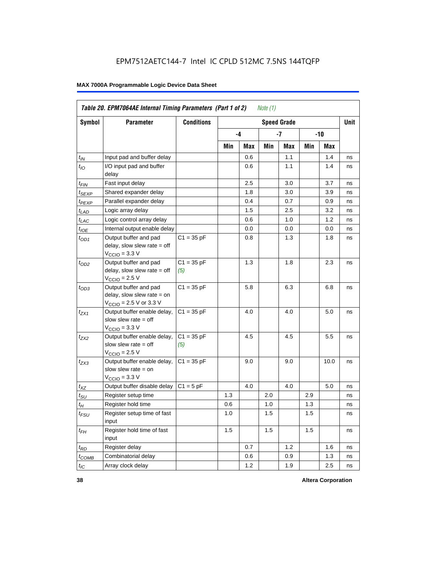|                   | Table 20. EPM7064AE Internal Timing Parameters (Part 1 of 2)                                |                     |     |      | Note $(1)$ |                    |     |       |             |
|-------------------|---------------------------------------------------------------------------------------------|---------------------|-----|------|------------|--------------------|-----|-------|-------------|
| Symbol            | <b>Parameter</b>                                                                            | <b>Conditions</b>   |     |      |            | <b>Speed Grade</b> |     |       | <b>Unit</b> |
|                   |                                                                                             |                     |     | $-4$ |            | -7                 |     | $-10$ |             |
|                   |                                                                                             |                     | Min | Max  | Min        | Max                | Min | Max   |             |
| $t_{IN}$          | Input pad and buffer delay                                                                  |                     |     | 0.6  |            | 1.1                |     | 1.4   | ns          |
| $t_{IO}$          | I/O input pad and buffer<br>delay                                                           |                     |     | 0.6  |            | 1.1                |     | 1.4   | ns          |
| t <sub>FIN</sub>  | Fast input delay                                                                            |                     |     | 2.5  |            | 3.0                |     | 3.7   | ns          |
| t <sub>SEXP</sub> | Shared expander delay                                                                       |                     |     | 1.8  |            | 3.0                |     | 3.9   | ns          |
| t <sub>PEXP</sub> | Parallel expander delay                                                                     |                     |     | 0.4  |            | 0.7                |     | 0.9   | ns          |
| $t_{LAD}$         | Logic array delay                                                                           |                     |     | 1.5  |            | 2.5                |     | 3.2   | ns          |
| $t_{LAC}$         | Logic control array delay                                                                   |                     |     | 0.6  |            | 1.0                |     | 1.2   | ns          |
| $t_{IOE}$         | Internal output enable delay                                                                |                     |     | 0.0  |            | 0.0                |     | 0.0   | ns          |
| $t_{OD1}$         | Output buffer and pad<br>delay, slow slew rate $=$ off<br>$VCCIO = 3.3 V$                   | $C1 = 35 pF$        |     | 0.8  |            | 1.3                |     | 1.8   | ns          |
| $t_{OD2}$         | Output buffer and pad<br>delay, slow slew rate $=$ off<br>$V_{\text{CCIO}} = 2.5 V$         | $C1 = 35 pF$<br>(5) |     | 1.3  |            | 1.8                |     | 2.3   | ns          |
| $t_{OD3}$         | Output buffer and pad<br>delay, slow slew rate $=$ on<br>$V_{\text{CCIO}}$ = 2.5 V or 3.3 V | $C1 = 35 pF$        |     | 5.8  |            | 6.3                |     | 6.8   | ns          |
| $t_{ZX1}$         | Output buffer enable delay,<br>slow slew rate $=$ off<br>$VCCIO = 3.3 V$                    | $C1 = 35 pF$        |     | 4.0  |            | 4.0                |     | 5.0   | ns          |
| $t_{ZX2}$         | Output buffer enable delay,<br>slow slew rate $=$ off<br>$V_{\text{CCIO}}$ = 2.5 V          | $C1 = 35 pF$<br>(5) |     | 4.5  |            | 4.5                |     | 5.5   | ns          |
| $t_{ZX3}$         | Output buffer enable delay,<br>slow slew rate $=$ on<br>$VCCIO = 3.3 V$                     | $C1 = 35 pF$        |     | 9.0  |            | 9.0                |     | 10.0  | ns          |
| $t_{XZ}$          | Output buffer disable delay                                                                 | $C1 = 5pF$          |     | 4.0  |            | 4.0                |     | 5.0   | ns          |
| $t_{\text{SU}}$   | Register setup time                                                                         |                     | 1.3 |      | 2.0        |                    | 2.9 |       | ns          |
| $t_H$             | Register hold time                                                                          |                     | 0.6 |      | 1.0        |                    | 1.3 |       | ns          |
| $t_{FSU}$         | Register setup time of fast<br>input                                                        |                     | 1.0 |      | 1.5        |                    | 1.5 |       | ns          |
| $t_{FH}$          | Register hold time of fast<br>input                                                         |                     | 1.5 |      | 1.5        |                    | 1.5 |       | ns          |
| $t_{RD}$          | Register delay                                                                              |                     |     | 0.7  |            | 1.2                |     | 1.6   | ns          |
| $t_{COMB}$        | Combinatorial delay                                                                         |                     |     | 0.6  |            | 0.9                |     | 1.3   | ns          |
| $t_{IC}$          | Array clock delay                                                                           |                     |     | 1.2  |            | 1.9                |     | 2.5   | ns          |

**38 Altera Corporation**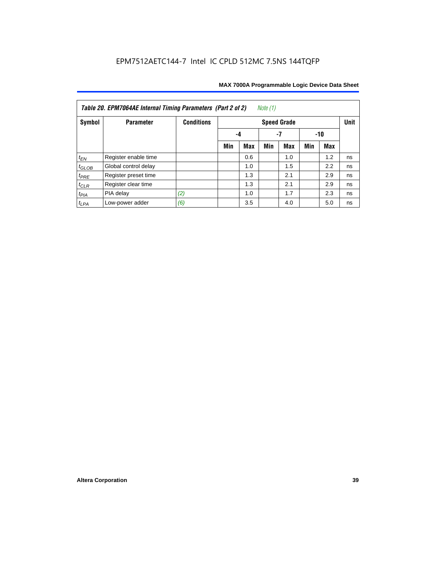| Note $(1)$<br>Table 20. EPM7064AE Internal Timing Parameters (Part 2 of 2) |                      |                   |     |     |     |                    |     |     |             |  |  |
|----------------------------------------------------------------------------|----------------------|-------------------|-----|-----|-----|--------------------|-----|-----|-------------|--|--|
| Symbol                                                                     | <b>Parameter</b>     | <b>Conditions</b> |     |     |     | <b>Speed Grade</b> |     |     | <b>Unit</b> |  |  |
|                                                                            |                      |                   | -4  | -10 |     |                    |     |     |             |  |  |
|                                                                            |                      |                   | Min | Max | Min | <b>Max</b>         | Min | Max |             |  |  |
| $t_{EN}$                                                                   | Register enable time |                   |     | 0.6 |     | 1.0                |     | 1.2 | ns          |  |  |
| $t_{GLOB}$                                                                 | Global control delay |                   |     | 1.0 |     | 1.5                |     | 2.2 | ns          |  |  |
| $t_{PRE}$                                                                  | Register preset time |                   |     | 1.3 |     | 2.1                |     | 2.9 | ns          |  |  |
| $t_{CLR}$                                                                  | Register clear time  |                   |     | 1.3 |     | 2.1                |     | 2.9 | ns          |  |  |
| $t_{PIA}$                                                                  | PIA delay            | (2)               |     | 1.0 |     | 1.7                |     | 2.3 | ns          |  |  |
| $t_{LPA}$                                                                  | Low-power adder      | (6)               |     | 3.5 |     | 4.0                |     | 5.0 | ns          |  |  |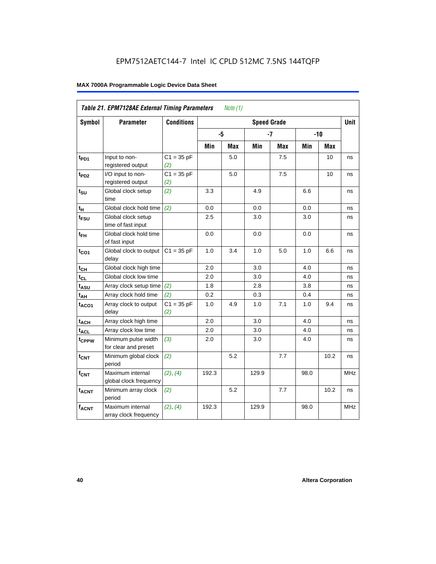|                        | Table 21. EPM7128AE External Timing Parameters |                     |       | Note (1)   |                    |            |      |            |            |
|------------------------|------------------------------------------------|---------------------|-------|------------|--------------------|------------|------|------------|------------|
| <b>Symbol</b>          | <b>Parameter</b>                               | <b>Conditions</b>   |       |            | <b>Speed Grade</b> |            |      |            | Unit       |
|                        |                                                |                     | -5    |            |                    | $-7$       |      | $-10$      |            |
|                        |                                                |                     | Min   | <b>Max</b> | Min                | <b>Max</b> | Min  | <b>Max</b> |            |
| $t_{PD1}$              | Input to non-<br>registered output             | $C1 = 35 pF$<br>(2) |       | 5.0        |                    | 7.5        |      | 10         | ns         |
| t <sub>PD2</sub>       | I/O input to non-<br>registered output         | $C1 = 35 pF$<br>(2) |       | 5.0        |                    | 7.5        |      | 10         | ns         |
| $t_{\text{SU}}$        | Global clock setup<br>time                     | (2)                 | 3.3   |            | 4.9                |            | 6.6  |            | ns         |
| $t_H$                  | Global clock hold time                         | (2)                 | 0.0   |            | 0.0                |            | 0.0  |            | ns         |
| $t_{FSU}$              | Global clock setup<br>time of fast input       |                     | 2.5   |            | 3.0                |            | 3.0  |            | ns         |
| $t_{FH}$               | Global clock hold time<br>of fast input        |                     | 0.0   |            | 0.0                |            | 0.0  |            | ns         |
| $t_{CO1}$              | Global clock to output<br>delay                | $C1 = 35 pF$        | 1.0   | 3.4        | $1.0$              | 5.0        | 1.0  | 6.6        | ns         |
| $t_{CH}$               | Global clock high time                         |                     | 2.0   |            | 3.0                |            | 4.0  |            | ns         |
| $t_{CL}$               | Global clock low time                          |                     | 2.0   |            | 3.0                |            | 4.0  |            | ns         |
| $t_{A S U}$            | Array clock setup time                         | (2)                 | 1.8   |            | 2.8                |            | 3.8  |            | ns         |
| t <sub>АН</sub>        | Array clock hold time                          | (2)                 | 0.2   |            | 0.3                |            | 0.4  |            | ns         |
| $t_{ACO1}$             | Array clock to output<br>delay                 | $C1 = 35 pF$<br>(2) | 1.0   | 4.9        | 1.0                | 7.1        | 1.0  | 9.4        | ns         |
| $t_{ACH}$              | Array clock high time                          |                     | 2.0   |            | 3.0                |            | 4.0  |            | ns         |
| <b>t<sub>ACL</sub></b> | Array clock low time                           |                     | 2.0   |            | 3.0                |            | 4.0  |            | ns         |
| t <sub>CPPW</sub>      | Minimum pulse width<br>for clear and preset    | (3)                 | 2.0   |            | 3.0                |            | 4.0  |            | ns         |
| $t_{\text{CNT}}$       | Minimum global clock<br>period                 | (2)                 |       | 5.2        |                    | 7.7        |      | 10.2       | ns         |
| $f_{CNT}$              | Maximum internal<br>global clock frequency     | (2), (4)            | 192.3 |            | 129.9              |            | 98.0 |            | <b>MHz</b> |
| $t_{ACNT}$             | Minimum array clock<br>period                  | (2)                 |       | 5.2        |                    | 7.7        |      | 10.2       | ns         |
| $f_{ACNT}$             | Maximum internal<br>array clock frequency      | (2), (4)            | 192.3 |            | 129.9              |            | 98.0 |            | <b>MHz</b> |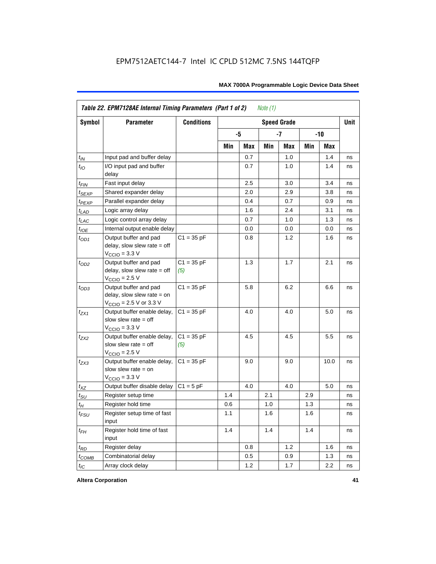|                    | Table 22. EPM7128AE Internal Timing Parameters (Part 1 of 2)                                |                     |     |     | Note $(1)$ |                    |     |         |             |
|--------------------|---------------------------------------------------------------------------------------------|---------------------|-----|-----|------------|--------------------|-----|---------|-------------|
| Symbol             | <b>Parameter</b>                                                                            | <b>Conditions</b>   |     |     |            | <b>Speed Grade</b> |     |         | <b>Unit</b> |
|                    |                                                                                             |                     |     | -5  |            | $-7$               |     | $-10$   |             |
|                    |                                                                                             |                     | Min | Max | Min        | Max                | Min | Max     |             |
| $t_{IN}$           | Input pad and buffer delay                                                                  |                     |     | 0.7 |            | 1.0                |     | 1.4     | ns          |
| $t_{IO}$           | I/O input pad and buffer<br>delay                                                           |                     |     | 0.7 |            | 1.0                |     | 1.4     | ns          |
| $t_{\mathsf{FIN}}$ | Fast input delay                                                                            |                     |     | 2.5 |            | 3.0                |     | 3.4     | ns          |
| $t_{SEXP}$         | Shared expander delay                                                                       |                     |     | 2.0 |            | 2.9                |     | 3.8     | ns          |
| $t_{PEXP}$         | Parallel expander delay                                                                     |                     |     | 0.4 |            | 0.7                |     | 0.9     | ns          |
| $t_{LAD}$          | Logic array delay                                                                           |                     |     | 1.6 |            | 2.4                |     | 3.1     | ns          |
| $t_{LAC}$          | Logic control array delay                                                                   |                     |     | 0.7 |            | 1.0                |     | 1.3     | ns          |
| $t_{IOE}$          | Internal output enable delay                                                                |                     |     | 0.0 |            | 0.0                |     | 0.0     | ns          |
| $t_{OD1}$          | Output buffer and pad<br>delay, slow slew rate = off<br>$VCCIO = 3.3 V$                     | $C1 = 35 pF$        |     | 0.8 |            | 1.2                |     | 1.6     | ns          |
| $t_{OD2}$          | Output buffer and pad<br>$delay$ , slow slew rate = off<br>$VCCIO = 2.5 V$                  | $C1 = 35 pF$<br>(5) |     | 1.3 |            | 1.7                |     | 2.1     | ns          |
| $t_{OD3}$          | Output buffer and pad<br>delay, slow slew rate $=$ on<br>$V_{\text{CCIO}}$ = 2.5 V or 3.3 V | $C1 = 35 pF$        |     | 5.8 |            | 6.2                |     | 6.6     | ns          |
| $t_{ZX1}$          | Output buffer enable delay,<br>slow slew rate $=$ off<br>$VCCIO = 3.3 V$                    | $C1 = 35 pF$        |     | 4.0 |            | 4.0                |     | 5.0     | ns          |
| $t_{7X2}$          | Output buffer enable delay,<br>slow slew rate $=$ off<br>$V_{\text{CCIO}} = 2.5 V$          | $C1 = 35 pF$<br>(5) |     | 4.5 |            | 4.5                |     | $5.5\,$ | ns          |
| $t_{ZX3}$          | Output buffer enable delay,<br>slow slew rate $=$ on<br>$V_{\text{CCIO}} = 3.3 \text{ V}$   | $C1 = 35 pF$        |     | 9.0 |            | 9.0                |     | 10.0    | ns          |
| $t_{XZ}$           | Output buffer disable delay                                                                 | $C1 = 5 pF$         |     | 4.0 |            | 4.0                |     | 5.0     | ns          |
| $t_{\text{SU}}$    | Register setup time                                                                         |                     | 1.4 |     | 2.1        |                    | 2.9 |         | ns          |
| $t_H$              | Register hold time                                                                          |                     | 0.6 |     | 1.0        |                    | 1.3 |         | ns          |
| $t_{\mathit{FSU}}$ | Register setup time of fast<br>input                                                        |                     | 1.1 |     | 1.6        |                    | 1.6 |         | ns          |
| $t_{FH}$           | Register hold time of fast<br>input                                                         |                     | 1.4 |     | 1.4        |                    | 1.4 |         | ns          |
| $t_{RD}$           | Register delay                                                                              |                     |     | 0.8 |            | 1.2                |     | 1.6     | ns          |
| $t_{COMB}$         | Combinatorial delay                                                                         |                     |     | 0.5 |            | 0.9                |     | 1.3     | ns          |
| $t_{IC}$           | Array clock delay                                                                           |                     |     | 1.2 |            | 1.7                |     | 2.2     | ns          |

**Altera Corporation 41**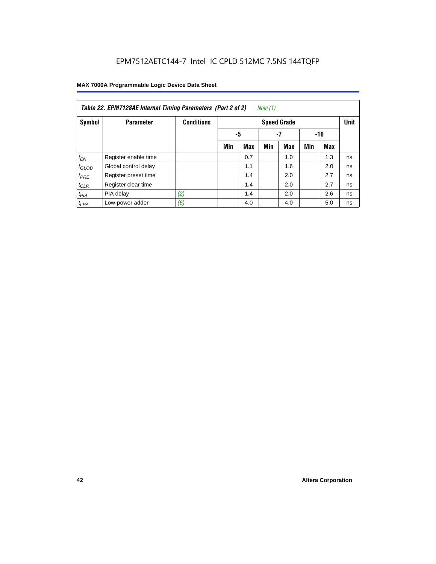| Note (1)<br>Table 22. EPM7128AE Internal Timing Parameters (Part 2 of 2) |                      |                   |     |                 |     |                    |     |            |             |  |  |  |
|--------------------------------------------------------------------------|----------------------|-------------------|-----|-----------------|-----|--------------------|-----|------------|-------------|--|--|--|
| Symbol                                                                   | <b>Parameter</b>     | <b>Conditions</b> |     |                 |     | <b>Speed Grade</b> |     |            | <b>Unit</b> |  |  |  |
|                                                                          |                      |                   |     | -5<br>-7<br>-10 |     |                    |     |            |             |  |  |  |
|                                                                          |                      |                   | Min | <b>Max</b>      | Min | <b>Max</b>         | Min | <b>Max</b> |             |  |  |  |
| $t_{EN}$                                                                 | Register enable time |                   |     | 0.7             |     | 1.0                |     | 1.3        | ns          |  |  |  |
| $t_{GLOB}$                                                               | Global control delay |                   |     | 1.1             |     | 1.6                |     | 2.0        | ns          |  |  |  |
| $t_{PRE}$                                                                | Register preset time |                   |     | 1.4             |     | 2.0                |     | 2.7        | ns          |  |  |  |
| $t_{CLR}$                                                                | Register clear time  |                   |     | 1.4             |     | 2.0                |     | 2.7        | ns          |  |  |  |
| $t_{PIA}$                                                                | PIA delay            | (2)               |     | 1.4             |     | 2.0                |     | 2.6        | ns          |  |  |  |
| $t_{LPA}$                                                                | Low-power adder      | (6)               |     | 4.0             |     | 4.0                |     | 5.0        | ns          |  |  |  |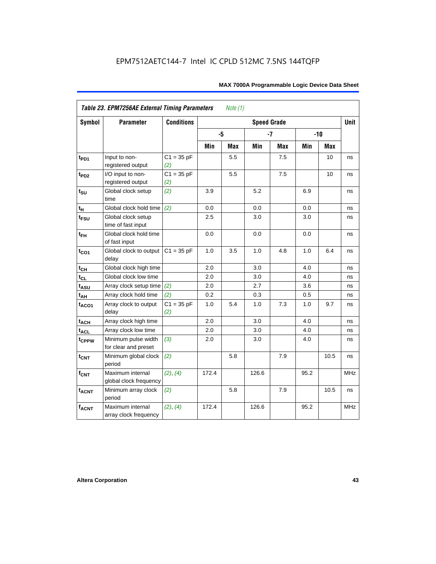| Symbol                 | <b>Parameter</b>                            | <b>Conditions</b>   |       |            | <b>Speed Grade</b> |            |      |       | <b>Unit</b> |
|------------------------|---------------------------------------------|---------------------|-------|------------|--------------------|------------|------|-------|-------------|
|                        |                                             |                     | -5    |            |                    | $-7$       |      | $-10$ |             |
|                        |                                             |                     | Min   | <b>Max</b> | Min                | <b>Max</b> | Min  | Max   |             |
| t <sub>PD1</sub>       | Input to non-<br>registered output          | $C1 = 35 pF$<br>(2) |       | 5.5        |                    | 7.5        |      | 10    | ns          |
| $t_{PD2}$              | I/O input to non-<br>registered output      | $C1 = 35 pF$<br>(2) |       | 5.5        |                    | 7.5        |      | 10    | ns          |
| $t_{\text{SU}}$        | Global clock setup<br>time                  | (2)                 | 3.9   |            | 5.2                |            | 6.9  |       | ns          |
| $t_H$                  | Global clock hold time                      | (2)                 | 0.0   |            | 0.0                |            | 0.0  |       | ns          |
| t <sub>FSU</sub>       | Global clock setup<br>time of fast input    |                     | 2.5   |            | 3.0                |            | 3.0  |       | ns          |
| $t_{FH}$               | Global clock hold time<br>of fast input     |                     | 0.0   |            | 0.0                |            | 0.0  |       | ns          |
| $t_{CO1}$              | Global clock to output<br>delay             | $C1 = 35 pF$        | 1.0   | 3.5        | 1.0                | 4.8        | 1.0  | 6.4   | ns          |
| $t_{CH}$               | Global clock high time                      |                     | 2.0   |            | 3.0                |            | 4.0  |       | ns          |
| $t_{CL}$               | Global clock low time                       |                     | 2.0   |            | 3.0                |            | 4.0  |       | ns          |
| t <sub>ASU</sub>       | Array clock setup time                      | (2)                 | 2.0   |            | 2.7                |            | 3.6  |       | ns          |
| $t_{AH}$               | Array clock hold time                       | (2)                 | 0.2   |            | 0.3                |            | 0.5  |       | ns          |
| $t_{ACO1}$             | Array clock to output<br>delay              | $C1 = 35 pF$<br>(2) | 1.0   | 5.4        | 1.0                | 7.3        | 1.0  | 9.7   | ns          |
| $t_{ACH}$              | Array clock high time                       |                     | 2.0   |            | 3.0                |            | 4.0  |       | ns          |
| <b>t<sub>ACL</sub></b> | Array clock low time                        |                     | 2.0   |            | 3.0                |            | 4.0  |       | ns          |
| tcPPW                  | Minimum pulse width<br>for clear and preset | (3)                 | 2.0   |            | 3.0                |            | 4.0  |       | ns          |
| $t_{\text{CNT}}$       | Minimum global clock<br>period              | (2)                 |       | 5.8        |                    | 7.9        |      | 10.5  | ns          |
| $f_{CNT}$              | Maximum internal<br>global clock frequency  | (2), (4)            | 172.4 |            | 126.6              |            | 95.2 |       | <b>MHz</b>  |
| $t_{ACNT}$             | Minimum array clock<br>period               | (2)                 |       | 5.8        |                    | 7.9        |      | 10.5  | ns          |
| <b>fACNT</b>           | Maximum internal<br>array clock frequency   | (2), (4)            | 172.4 |            | 126.6              |            | 95.2 |       | <b>MHz</b>  |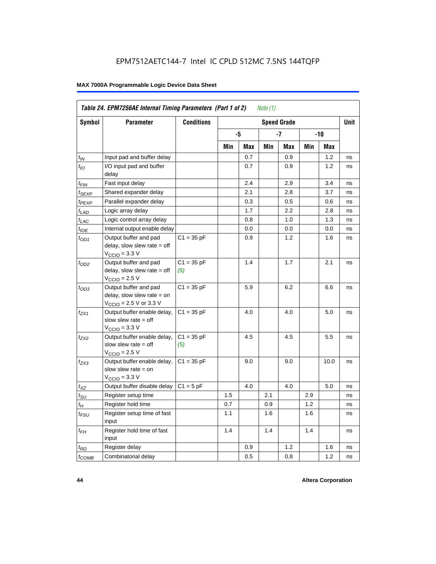|                             |                                                                                                              | <b>Conditions</b>   |     |     |     |                    |     |      |             |
|-----------------------------|--------------------------------------------------------------------------------------------------------------|---------------------|-----|-----|-----|--------------------|-----|------|-------------|
| Symbol                      | <b>Parameter</b>                                                                                             |                     |     |     |     | <b>Speed Grade</b> |     |      | <b>Unit</b> |
|                             |                                                                                                              |                     |     | -5  |     | -7                 |     | -10  |             |
|                             |                                                                                                              |                     | Min | Max | Min | Max                | Min | Max  |             |
| $t_{IN}$                    | Input pad and buffer delay                                                                                   |                     |     | 0.7 |     | 0.9                |     | 1.2  | ns          |
| $t_{IO}$                    | I/O input pad and buffer<br>delay                                                                            |                     |     | 0.7 |     | 0.9                |     | 1.2  | ns          |
| t <sub>FIN</sub>            | Fast input delay                                                                                             |                     |     | 2.4 |     | 2.9                |     | 3.4  | ns          |
| t <sub>SEXP</sub>           | Shared expander delay                                                                                        |                     |     | 2.1 |     | 2.8                |     | 3.7  | ns          |
| t <sub>PEXP</sub>           | Parallel expander delay                                                                                      |                     |     | 0.3 |     | 0.5                |     | 0.6  | ns          |
| $t_{LAD}$                   | Logic array delay                                                                                            |                     |     | 1.7 |     | 2.2                |     | 2.8  | ns          |
| $t_{LAC}$                   | Logic control array delay                                                                                    |                     |     | 0.8 |     | 1.0                |     | 1.3  | ns          |
| $t_{IOE}$                   | Internal output enable delay                                                                                 |                     |     | 0.0 |     | 0.0                |     | 0.0  | ns          |
| $t_{OD1}$                   | Output buffer and pad<br>$delay$ , slow slew rate = off<br>$V_{\text{CCIO}} = 3.3 \text{ V}$                 | $C1 = 35 pF$        |     | 0.9 |     | 1.2                |     | 1.6  | ns          |
| $t_{OD2}$                   | Output buffer and pad<br>delay, slow slew rate $=$ off<br>$V_{\text{CCIO}} = 2.5 V$                          | $C1 = 35 pF$<br>(5) |     | 1.4 |     | 1.7                |     | 2.1  | ns          |
| $t_{OD3}$                   | Output buffer and pad<br>delay, slow slew rate $=$ on<br>$V_{\text{CCIO}} = 2.5 \text{ V or } 3.3 \text{ V}$ | $C1 = 35 pF$        |     | 5.9 |     | 6.2                |     | 6.6  | ns          |
| $t_{ZX1}$                   | Output buffer enable delay,<br>slow slew rate $=$ off<br>$V_{\text{CCIO}} = 3.3 \text{ V}$                   | $C1 = 35 pF$        |     | 4.0 |     | 4.0                |     | 5.0  | ns          |
| t <sub>ZX2</sub>            | Output buffer enable delay,<br>slow slew rate $=$ off<br>$V_{\text{CCIO}} = 2.5 V$                           | $C1 = 35 pF$<br>(5) |     | 4.5 |     | 4.5                |     | 5.5  | ns          |
| t <sub>ZX3</sub>            | Output buffer enable delay,<br>slow slew rate $=$ on<br>$VCCIO = 3.3 V$                                      | $C1 = 35 pF$        |     | 9.0 |     | 9.0                |     | 10.0 | ns          |
| $t_{XZ}$                    | Output buffer disable delay                                                                                  | $C1 = 5pF$          |     | 4.0 |     | 4.0                |     | 5.0  | ns          |
| $t_{\scriptstyle\text{SU}}$ | Register setup time                                                                                          |                     | 1.5 |     | 2.1 |                    | 2.9 |      | ns          |
| $t_{\mathcal{H}}$           | Register hold time                                                                                           |                     | 0.7 |     | 0.9 |                    | 1.2 |      | ns          |
| t <sub>FSU</sub>            | Register setup time of fast<br>input                                                                         |                     | 1.1 |     | 1.6 |                    | 1.6 |      | ns          |
| $t_{FH}$                    | Register hold time of fast<br>input                                                                          |                     | 1.4 |     | 1.4 |                    | 1.4 |      | ns          |
| $t_{RD}$                    | Register delay                                                                                               |                     |     | 0.9 |     | 1.2                |     | 1.6  | ns          |
| $t_{\text{COMB}}$           | Combinatorial delay                                                                                          |                     |     | 0.5 |     | 0.8                |     | 1.2  | ns          |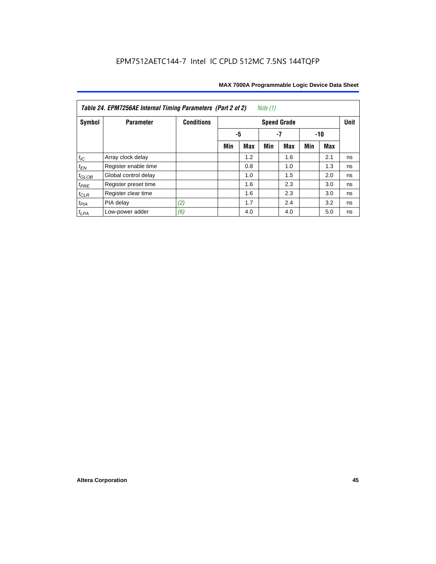| Table 24. EPM7256AE Internal Timing Parameters (Part 2 of 2)<br>Note (1) |                      |                   |     |     |     |                    |     |     |             |  |  |
|--------------------------------------------------------------------------|----------------------|-------------------|-----|-----|-----|--------------------|-----|-----|-------------|--|--|
| Symbol                                                                   | <b>Parameter</b>     | <b>Conditions</b> |     |     |     | <b>Speed Grade</b> |     |     | <b>Unit</b> |  |  |
|                                                                          |                      |                   |     | -5  |     | $-10$              |     |     |             |  |  |
|                                                                          |                      |                   | Min | Max | Min | Max                | Min | Max |             |  |  |
| $t_{\mathit{IC}}$                                                        | Array clock delay    |                   |     | 1.2 |     | 1.6                |     | 2.1 | ns          |  |  |
| $t_{EN}$                                                                 | Register enable time |                   |     | 0.8 |     | 1.0                |     | 1.3 | ns          |  |  |
| $t_{GLOB}$                                                               | Global control delay |                   |     | 1.0 |     | 1.5                |     | 2.0 | ns          |  |  |
| $t_{PRE}$                                                                | Register preset time |                   |     | 1.6 |     | 2.3                |     | 3.0 | ns          |  |  |
| $t_{CLR}$                                                                | Register clear time  |                   |     | 1.6 |     | 2.3                |     | 3.0 | ns          |  |  |
| $t_{PIA}$                                                                | PIA delay            | (2)               |     | 1.7 |     | 2.4                |     | 3.2 | ns          |  |  |
| $t_{LPA}$                                                                | Low-power adder      | (6)               |     | 4.0 |     | 4.0                |     | 5.0 | ns          |  |  |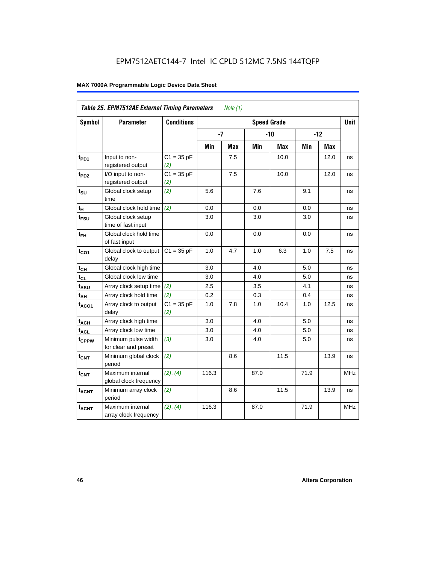|                   | Table 25. EPM7512AE External Timing Parameters |                     |       | Note (1)   |                    |            |      |            |             |
|-------------------|------------------------------------------------|---------------------|-------|------------|--------------------|------------|------|------------|-------------|
| <b>Symbol</b>     | <b>Parameter</b>                               | <b>Conditions</b>   |       |            | <b>Speed Grade</b> |            |      |            | <b>Unit</b> |
|                   |                                                |                     | $-7$  |            |                    | $-10$      |      | $-12$      |             |
|                   |                                                |                     | Min   | <b>Max</b> | Min                | <b>Max</b> | Min  | <b>Max</b> |             |
| t <sub>PD1</sub>  | Input to non-<br>registered output             | $C1 = 35 pF$<br>(2) |       | 7.5        |                    | 10.0       |      | 12.0       | ns          |
| t <sub>PD2</sub>  | I/O input to non-<br>registered output         | $C1 = 35 pF$<br>(2) |       | 7.5        |                    | 10.0       |      | 12.0       | ns          |
| $t_{\text{SU}}$   | Global clock setup<br>time                     | (2)                 | 5.6   |            | 7.6                |            | 9.1  |            | ns          |
| t <sub>Η</sub>    | Global clock hold time                         | (2)                 | 0.0   |            | 0.0                |            | 0.0  |            | ns          |
| t <sub>FSU</sub>  | Global clock setup<br>time of fast input       |                     | 3.0   |            | 3.0                |            | 3.0  |            | ns          |
| $t_{FH}$          | Global clock hold time<br>of fast input        |                     | 0.0   |            | 0.0                |            | 0.0  |            | ns          |
| $t_{CO1}$         | Global clock to output<br>delay                | $C1 = 35 pF$        | 1.0   | 4.7        | 1.0                | 6.3        | 1.0  | 7.5        | ns          |
| $t_{CH}$          | Global clock high time                         |                     | 3.0   |            | 4.0                |            | 5.0  |            | ns          |
| $t_{CL}$          | Global clock low time                          |                     | 3.0   |            | 4.0                |            | 5.0  |            | ns          |
| $t_{ASU}$         | Array clock setup time                         | (2)                 | 2.5   |            | 3.5                |            | 4.1  |            | ns          |
| $t_{AH}$          | Array clock hold time                          | (2)                 | 0.2   |            | 0.3                |            | 0.4  |            | ns          |
| $t_{ACO1}$        | Array clock to output<br>delay                 | $C1 = 35 pF$<br>(2) | 1.0   | 7.8        | 1.0                | 10.4       | 1.0  | 12.5       | ns          |
| $t_{ACH}$         | Array clock high time                          |                     | 3.0   |            | 4.0                |            | 5.0  |            | ns          |
| $t_{\text{ACL}}$  | Array clock low time                           |                     | 3.0   |            | 4.0                |            | 5.0  |            | ns          |
| t <sub>CPPW</sub> | Minimum pulse width<br>for clear and preset    | (3)                 | 3.0   |            | 4.0                |            | 5.0  |            | ns          |
| $t_{CNT}$         | Minimum global clock<br>period                 | (2)                 |       | 8.6        |                    | 11.5       |      | 13.9       | ns          |
| $f_{CNT}$         | Maximum internal<br>global clock frequency     | (2), (4)            | 116.3 |            | 87.0               |            | 71.9 |            | <b>MHz</b>  |
| $t_{ACNT}$        | Minimum array clock<br>period                  | (2)                 |       | 8.6        |                    | 11.5       |      | 13.9       | ns          |
| <b>fACNT</b>      | Maximum internal<br>array clock frequency      | (2), (4)            | 116.3 |            | 87.0               |            | 71.9 |            | <b>MHz</b>  |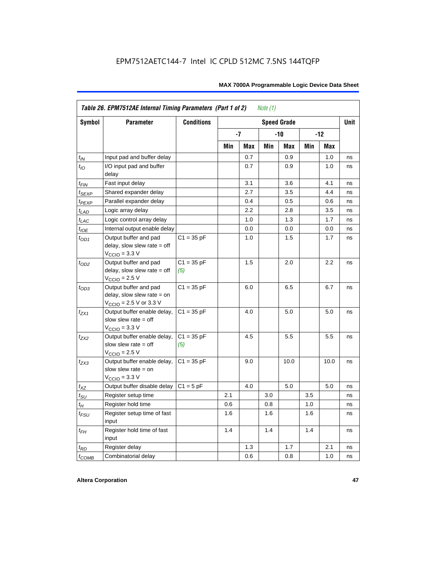|                    | Table 26. EPM7512AE Internal Timing Parameters (Part 1 of 2)                                                 |                     |     |     | Note (1) |                    |     |       |      |
|--------------------|--------------------------------------------------------------------------------------------------------------|---------------------|-----|-----|----------|--------------------|-----|-------|------|
| Symbol             | <b>Parameter</b>                                                                                             | <b>Conditions</b>   |     |     |          | <b>Speed Grade</b> |     |       | Unit |
|                    |                                                                                                              |                     |     | -7  |          | -10                |     | $-12$ |      |
|                    |                                                                                                              |                     | Min | Max | Min      | Max                | Min | Max   |      |
| $t_{IN}$           | Input pad and buffer delay                                                                                   |                     |     | 0.7 |          | 0.9                |     | 1.0   | ns   |
| $t_{IO}$           | I/O input pad and buffer<br>delay                                                                            |                     |     | 0.7 |          | 0.9                |     | 1.0   | ns   |
| $t_{\sf FIN}$      | Fast input delay                                                                                             |                     |     | 3.1 |          | 3.6                |     | 4.1   | ns   |
| $t_{SEXP}$         | Shared expander delay                                                                                        |                     |     | 2.7 |          | 3.5                |     | 4.4   | ns   |
| t <sub>PEXP</sub>  | Parallel expander delay                                                                                      |                     |     | 0.4 |          | 0.5                |     | 0.6   | ns   |
| $t_{LAD}$          | Logic array delay                                                                                            |                     |     | 2.2 |          | 2.8                |     | 3.5   | ns   |
| $t_{LAC}$          | Logic control array delay                                                                                    |                     |     | 1.0 |          | 1.3                |     | 1.7   | ns   |
| $t_{\mathit{IOE}}$ | Internal output enable delay                                                                                 |                     |     | 0.0 |          | 0.0                |     | 0.0   | ns   |
| $t_{OD1}$          | Output buffer and pad<br>delay, slow slew rate $=$ off<br>$V_{\text{CCIO}} = 3.3 \text{ V}$                  | $C1 = 35 pF$        |     | 1.0 |          | 1.5                |     | 1.7   | ns   |
| $t_{OD2}$          | Output buffer and pad<br>delay, slow slew rate $=$ off<br>$VCCIO = 2.5 V$                                    | $C1 = 35 pF$<br>(5) |     | 1.5 |          | 2.0                |     | 2.2   | ns   |
| $t_{OD3}$          | Output buffer and pad<br>delay, slow slew rate $=$ on<br>$V_{\text{CCIO}} = 2.5 \text{ V or } 3.3 \text{ V}$ | $C1 = 35 pF$        |     | 6.0 |          | 6.5                |     | 6.7   | ns   |
| $t_{ZX1}$          | Output buffer enable delay,<br>slow slew rate $=$ off<br>$VCCIO = 3.3 V$                                     | $C1 = 35 pF$        |     | 4.0 |          | 5.0                |     | 5.0   | ns   |
| t <sub>ZX2</sub>   | Output buffer enable delay,<br>slow slew rate $=$ off<br>$VCCIO = 2.5 V$                                     | $C1 = 35 pF$<br>(5) |     | 4.5 |          | 5.5                |     | 5.5   | ns   |
| $t_{ZX3}$          | Output buffer enable delay,<br>slow slew rate = on<br>$V_{\text{CCIO}} = 3.3 \text{ V}$                      | $C1 = 35 pF$        |     | 9.0 |          | 10.0               |     | 10.0  | ns   |
| $t_{XZ}$           | Output buffer disable delay                                                                                  | $C1 = 5pF$          |     | 4.0 |          | 5.0                |     | 5.0   | ns   |
| $t_{\text{SU}}$    | Register setup time                                                                                          |                     | 2.1 |     | 3.0      |                    | 3.5 |       | ns   |
| $t_H$              | Register hold time                                                                                           |                     | 0.6 |     | 0.8      |                    | 1.0 |       | ns   |
| $t_{\mathit{FSU}}$ | Register setup time of fast<br>input                                                                         |                     | 1.6 |     | 1.6      |                    | 1.6 |       | ns   |
| $t_{FH}$           | Register hold time of fast<br>input                                                                          |                     | 1.4 |     | 1.4      |                    | 1.4 |       | ns   |
| $t_{RD}$           | Register delay                                                                                               |                     |     | 1.3 |          | 1.7                |     | 2.1   | ns   |
| $t_{COMB}$         | Combinatorial delay                                                                                          |                     |     | 0.6 |          | 0.8                |     | 1.0   | ns   |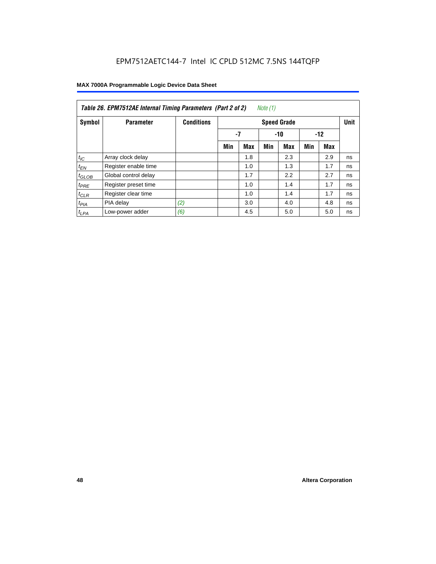| Table 26. EPM7512AE Internal Timing Parameters (Part 2 of 2)<br>Note (1) |                      |                   |                    |            |     |            |       |     |    |  |  |
|--------------------------------------------------------------------------|----------------------|-------------------|--------------------|------------|-----|------------|-------|-----|----|--|--|
| Symbol                                                                   | <b>Parameter</b>     | <b>Conditions</b> | <b>Speed Grade</b> |            |     |            |       |     |    |  |  |
|                                                                          |                      |                   |                    | $-7$       |     | $-10$      | $-12$ |     |    |  |  |
|                                                                          |                      |                   | Min                | <b>Max</b> | Min | <b>Max</b> | Min   | Max |    |  |  |
| $t_{IC}$                                                                 | Array clock delay    |                   |                    | 1.8        |     | 2.3        |       | 2.9 | ns |  |  |
| $t_{EN}$                                                                 | Register enable time |                   |                    | 1.0        |     | 1.3        |       | 1.7 | ns |  |  |
| $t_{GLOB}$                                                               | Global control delay |                   |                    | 1.7        |     | 2.2        |       | 2.7 | ns |  |  |
| $t_{PRE}$                                                                | Register preset time |                   |                    | 1.0        |     | 1.4        |       | 1.7 | ns |  |  |
| $t_{CLR}$                                                                | Register clear time  |                   |                    | 1.0        |     | 1.4        |       | 1.7 | ns |  |  |
| t <sub>PIA</sub>                                                         | PIA delay            | (2)               |                    | 3.0        |     | 4.0        |       | 4.8 | ns |  |  |
| $t_{LPA}$                                                                | Low-power adder      | (6)               |                    | 4.5        |     | 5.0        |       | 5.0 | ns |  |  |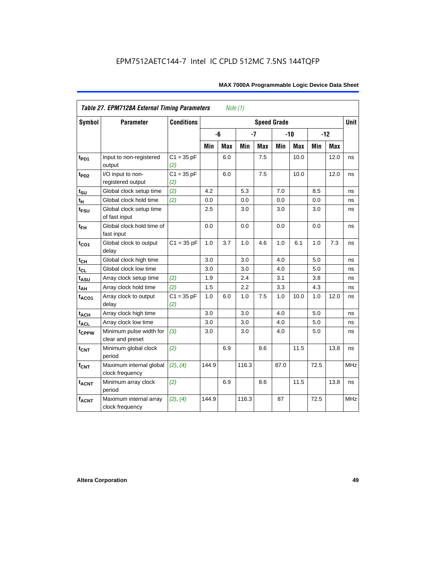|                         | <b>Table 27. EPM7128A External Timing Parameters</b> |                     |         | Note (1)   |       |            |                    |            |      |       |             |
|-------------------------|------------------------------------------------------|---------------------|---------|------------|-------|------------|--------------------|------------|------|-------|-------------|
| <b>Symbol</b>           | <b>Parameter</b>                                     | <b>Conditions</b>   |         |            |       |            | <b>Speed Grade</b> |            |      |       | <b>Unit</b> |
|                         |                                                      |                     |         | -6         | $-7$  |            |                    | $-10$      |      | $-12$ |             |
|                         |                                                      |                     | Min     | <b>Max</b> | Min   | <b>Max</b> | Min                | <b>Max</b> | Min  | Max   |             |
| t <sub>PD1</sub>        | Input to non-registered<br>output                    | $C1 = 35 pF$<br>(2) |         | 6.0        |       | 7.5        |                    | 10.0       |      | 12.0  | ns          |
| t <sub>PD2</sub>        | I/O input to non-<br>registered output               | $C1 = 35 pF$<br>(2) |         | 6.0        |       | 7.5        |                    | 10.0       |      | 12.0  | ns          |
| $t_{\text{SU}}$         | Global clock setup time                              | (2)                 | 4.2     |            | 5.3   |            | 7.0                |            | 8.5  |       | ns          |
| $t_H$                   | Global clock hold time                               | (2)                 | 0.0     |            | 0.0   |            | 0.0                |            | 0.0  |       | ns          |
| t <sub>FSU</sub>        | Global clock setup time<br>of fast input             |                     | $2.5\,$ |            | 3.0   |            | 3.0                |            | 3.0  |       | ns          |
| $t_{FH}$                | Global clock hold time of<br>fast input              |                     | 0.0     |            | 0.0   |            | 0.0                |            | 0.0  |       | ns          |
| $t_{CO1}$               | Global clock to output<br>delay                      | $C1 = 35 pF$        | 1.0     | 3.7        | 1.0   | 4.6        | 1.0                | 6.1        | 1.0  | 7.3   | ns          |
| $t_{CH}$                | Global clock high time                               |                     | 3.0     |            | 3.0   |            | 4.0                |            | 5.0  |       | ns          |
| $t_{CL}$                | Global clock low time                                |                     | 3.0     |            | 3.0   |            | 4.0                |            | 5.0  |       | ns          |
| t <sub>ASU</sub>        | Array clock setup time                               | (2)                 | 1.9     |            | 2.4   |            | 3.1                |            | 3.8  |       | ns          |
| $t_{\underline{AH}}$    | Array clock hold time                                | (2)                 | 1.5     |            | 2.2   |            | 3.3                |            | 4.3  |       | ns          |
| t <sub>ACO1</sub>       | Array clock to output<br>delay                       | $C1 = 35 pF$<br>(2) | 1.0     | 6.0        | 1.0   | 7.5        | 1.0                | 10.0       | 1.0  | 12.0  | ns          |
| $t_{ACH}$               | Array clock high time                                |                     | 3.0     |            | 3.0   |            | 4.0                |            | 5.0  |       | ns          |
| t <sub>ACL</sub>        | Array clock low time                                 |                     | 3.0     |            | 3.0   |            | 4.0                |            | 5.0  |       | ns          |
| t <sub>CPPW</sub>       | Minimum pulse width for<br>clear and preset          | (3)                 | 3.0     |            | 3.0   |            | 4.0                |            | 5.0  |       | ns          |
| $t_{\text{CNT}}$        | Minimum global clock<br>period                       | (2)                 |         | 6.9        |       | 8.6        |                    | 11.5       |      | 13.8  | ns          |
| $f_{\text{CNT}}$        | Maximum internal global<br>clock frequency           | (2), (4)            | 144.9   |            | 116.3 |            | 87.0               |            | 72.5 |       | MHz         |
| <b>t<sub>ACNT</sub></b> | Minimum array clock<br>period                        | (2)                 |         | 6.9        |       | 8.6        |                    | 11.5       |      | 13.8  | ns          |
| <b>fACNT</b>            | Maximum internal array<br>clock frequency            | (2), (4)            | 144.9   |            | 116.3 |            | 87                 |            | 72.5 |       | <b>MHz</b>  |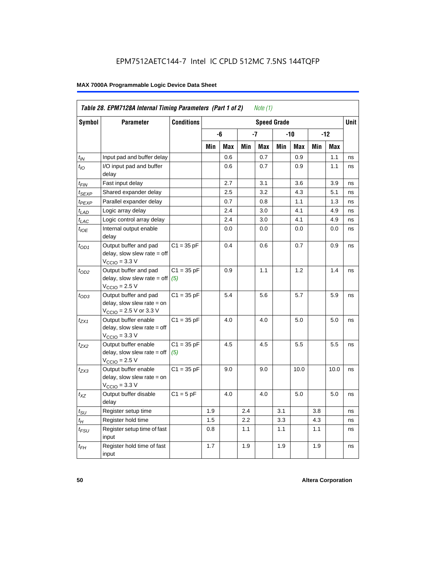|                             | Table 28. EPM7128A Internal Timing Parameters (Part 1 of 2)                                                |                     |     |     |     | Note (1) |                    |      |     |            |             |
|-----------------------------|------------------------------------------------------------------------------------------------------------|---------------------|-----|-----|-----|----------|--------------------|------|-----|------------|-------------|
| <b>Symbol</b>               | <b>Parameter</b>                                                                                           | <b>Conditions</b>   |     |     |     |          | <b>Speed Grade</b> |      |     |            | <b>Unit</b> |
|                             |                                                                                                            |                     |     | -6  |     | -7       |                    | -10  |     | $-12$      |             |
|                             |                                                                                                            |                     | Min | Max | Min | Max      | Min                | Max  | Min | <b>Max</b> |             |
| $t_{IN}$                    | Input pad and buffer delay                                                                                 |                     |     | 0.6 |     | 0.7      |                    | 0.9  |     | 1.1        | ns          |
| $t_{IO}$                    | I/O input pad and buffer<br>delay                                                                          |                     |     | 0.6 |     | 0.7      |                    | 0.9  |     | 1.1        | ns          |
| t <sub>FIN</sub>            | Fast input delay                                                                                           |                     |     | 2.7 |     | 3.1      |                    | 3.6  |     | 3.9        | ns          |
| t <sub>SEXP</sub>           | Shared expander delay                                                                                      |                     |     | 2.5 |     | 3.2      |                    | 4.3  |     | 5.1        | ns          |
| t <sub>PEXP</sub>           | Parallel expander delay                                                                                    |                     |     | 0.7 |     | 0.8      |                    | 1.1  |     | 1.3        | ns          |
| $t_{LAD}$                   | Logic array delay                                                                                          |                     |     | 2.4 |     | 3.0      |                    | 4.1  |     | 4.9        | ns          |
| $t_{LAC}$                   | Logic control array delay                                                                                  |                     |     | 2.4 |     | 3.0      |                    | 4.1  |     | 4.9        | ns          |
| $t_{\text{IOE}}$            | Internal output enable<br>delay                                                                            |                     |     | 0.0 |     | 0.0      |                    | 0.0  |     | 0.0        | ns          |
| $t_{OD1}$                   | Output buffer and pad<br>delay, slow slew rate = off<br>$VCCIO = 3.3 V$                                    | $C1 = 35 pF$        |     | 0.4 |     | 0.6      |                    | 0.7  |     | 0.9        | ns          |
| $t_{OD2}$                   | Output buffer and pad<br>delay, slow slew rate = off<br>$VCCIO = 2.5 V$                                    | $C1 = 35 pF$<br>(5) |     | 0.9 |     | 1.1      |                    | 1.2  |     | 1.4        | ns          |
| $t_{OD3}$                   | Output buffer and pad<br>delay, slow slew rate = on<br>$V_{\text{CCIO}} = 2.5 \text{ V or } 3.3 \text{ V}$ | $C1 = 35 pF$        |     | 5.4 |     | 5.6      |                    | 5.7  |     | 5.9        | ns          |
| t <sub>ZX1</sub>            | Output buffer enable<br>$delay$ , slow slew rate = off<br>$VCCIO = 3.3 V$                                  | $C1 = 35 pF$        |     | 4.0 |     | 4.0      |                    | 5.0  |     | 5.0        | ns          |
| $t_{ZX2}$                   | Output buffer enable<br>$delay$ , slow slew rate = off<br>$VCCIO = 2.5 V$                                  | $C1 = 35 pF$<br>(5) |     | 4.5 |     | 4.5      |                    | 5.5  |     | 5.5        | ns          |
| t <sub>ZX3</sub>            | Output buffer enable<br>delay, slow slew rate = on<br>$VCCIO = 3.3 V$                                      | $C1 = 35 pF$        |     | 9.0 |     | 9.0      |                    | 10.0 |     | 10.0       | ns          |
| $t_{XZ}$                    | Output buffer disable<br>delay                                                                             | $C1 = 5$ pF         |     | 4.0 |     | 4.0      |                    | 5.0  |     | 5.0        | ns          |
| $t_{\scriptstyle\text{SU}}$ | Register setup time                                                                                        |                     | 1.9 |     | 2.4 |          | 3.1                |      | 3.8 |            | ns          |
| $t_{\mathcal{H}}$           | Register hold time                                                                                         |                     | 1.5 |     | 2.2 |          | 3.3                |      | 4.3 |            | ns          |
| $t_{\mathsf{FSU}}$          | Register setup time of fast<br>input                                                                       |                     | 0.8 |     | 1.1 |          | 1.1                |      | 1.1 |            | ns          |
| $t_{FH}$                    | Register hold time of fast<br>input                                                                        |                     | 1.7 |     | 1.9 |          | 1.9                |      | 1.9 |            | ns          |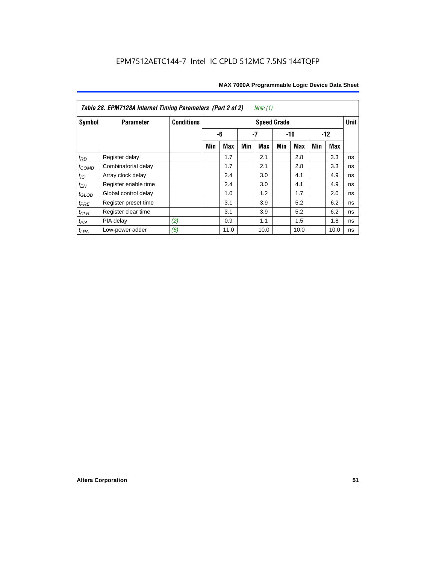| Table 28. EPM7128A Internal Timing Parameters (Part 2 of 2)<br>Note (1) |                      |                   |                    |      |     |            |       |            |       |      |             |
|-------------------------------------------------------------------------|----------------------|-------------------|--------------------|------|-----|------------|-------|------------|-------|------|-------------|
| Symbol                                                                  | <b>Parameter</b>     | <b>Conditions</b> | <b>Speed Grade</b> |      |     |            |       |            |       |      | <b>Unit</b> |
|                                                                         |                      |                   |                    | -6   | -7  |            | $-10$ |            | $-12$ |      |             |
|                                                                         |                      |                   | Min                | Max  | Min | <b>Max</b> | Min   | <b>Max</b> | Min   | Max  |             |
| $t_{RD}$                                                                | Register delay       |                   |                    | 1.7  |     | 2.1        |       | 2.8        |       | 3.3  | ns          |
| $t_{COMB}$                                                              | Combinatorial delay  |                   |                    | 1.7  |     | 2.1        |       | 2.8        |       | 3.3  | ns          |
| $t_{IC}$                                                                | Array clock delay    |                   |                    | 2.4  |     | 3.0        |       | 4.1        |       | 4.9  | ns          |
| $t_{EN}$                                                                | Register enable time |                   |                    | 2.4  |     | 3.0        |       | 4.1        |       | 4.9  | ns          |
| $t_{\text{GLOB}}$                                                       | Global control delay |                   |                    | 1.0  |     | 1.2        |       | 1.7        |       | 2.0  | ns          |
| $t_{PRE}$                                                               | Register preset time |                   |                    | 3.1  |     | 3.9        |       | 5.2        |       | 6.2  | ns          |
| $t_{CLR}$                                                               | Register clear time  |                   |                    | 3.1  |     | 3.9        |       | 5.2        |       | 6.2  | ns          |
| $t_{PIA}$                                                               | PIA delay            | (2)               |                    | 0.9  |     | 1.1        |       | 1.5        |       | 1.8  | ns          |
| $t_{LPA}$                                                               | Low-power adder      | (6)               |                    | 11.0 |     | 10.0       |       | 10.0       |       | 10.0 | ns          |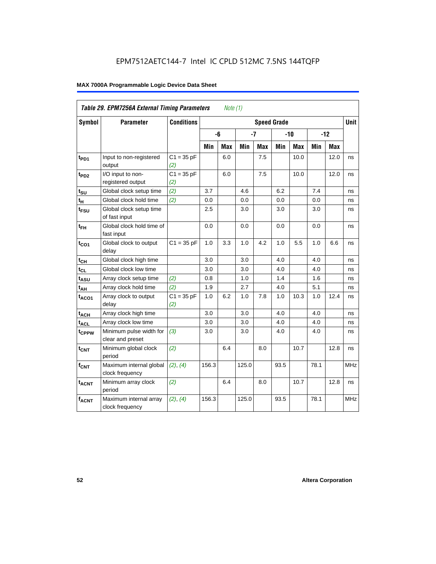| Table 29. EPM7256A External Timing Parameters<br>Note (1) |                                             |                     |       |                    |       |            |      |       |       |            |             |
|-----------------------------------------------------------|---------------------------------------------|---------------------|-------|--------------------|-------|------------|------|-------|-------|------------|-------------|
| Symbol                                                    | <b>Parameter</b>                            | <b>Conditions</b>   |       | <b>Speed Grade</b> |       |            |      |       |       |            | <b>Unit</b> |
|                                                           |                                             |                     |       | -6                 |       | $-7$       |      | $-10$ | $-12$ |            |             |
|                                                           |                                             |                     | Min   | Max                | Min   | <b>Max</b> | Min  | Max   | Min   | <b>Max</b> |             |
| t <sub>PD1</sub>                                          | Input to non-registered<br>output           | $C1 = 35 pF$<br>(2) |       | 6.0                |       | 7.5        |      | 10.0  |       | 12.0       | ns          |
| t <sub>PD2</sub>                                          | I/O input to non-<br>registered output      | $C1 = 35 pF$<br>(2) |       | 6.0                |       | 7.5        |      | 10.0  |       | 12.0       | ns          |
| $t_{\text{SU}}$                                           | Global clock setup time                     | (2)                 | 3.7   |                    | 4.6   |            | 6.2  |       | 7.4   |            | ns          |
| $t_H$                                                     | Global clock hold time                      | (2)                 | 0.0   |                    | 0.0   |            | 0.0  |       | 0.0   |            | ns          |
| $t_{\text{FSU}}$                                          | Global clock setup time<br>of fast input    |                     | 2.5   |                    | 3.0   |            | 3.0  |       | 3.0   |            | ns          |
| $t_{FH}$                                                  | Global clock hold time of<br>fast input     |                     | 0.0   |                    | 0.0   |            | 0.0  |       | 0.0   |            | ns          |
| $t_{CO1}$                                                 | Global clock to output<br>delay             | $C1 = 35 pF$        | 1.0   | 3.3                | 1.0   | 4.2        | 1.0  | 5.5   | 1.0   | 6.6        | ns          |
| $t_{CH}$                                                  | Global clock high time                      |                     | 3.0   |                    | 3.0   |            | 4.0  |       | 4.0   |            | ns          |
| $t_{CL}$                                                  | Global clock low time                       |                     | 3.0   |                    | 3.0   |            | 4.0  |       | 4.0   |            | ns          |
| t <sub>ASU</sub>                                          | Array clock setup time                      | (2)                 | 0.8   |                    | 1.0   |            | 1.4  |       | 1.6   |            | ns          |
| $t_{AH}$                                                  | Array clock hold time                       | (2)                 | 1.9   |                    | 2.7   |            | 4.0  |       | 5.1   |            | ns          |
| $t_{ACO1}$                                                | Array clock to output<br>delay              | $C1 = 35 pF$<br>(2) | 1.0   | 6.2                | 1.0   | 7.8        | 1.0  | 10.3  | 1.0   | 12.4       | ns          |
| $t_{ACH}$                                                 | Array clock high time                       |                     | 3.0   |                    | 3.0   |            | 4.0  |       | 4.0   |            | ns          |
| $t_{\text{ACL}}$                                          | Array clock low time                        |                     | 3.0   |                    | 3.0   |            | 4.0  |       | 4.0   |            | ns          |
| t <sub>CPPW</sub>                                         | Minimum pulse width for<br>clear and preset | (3)                 | 3.0   |                    | 3.0   |            | 4.0  |       | 4.0   |            | ns          |
| $t_{\text{CNT}}$                                          | Minimum global clock<br>period              | (2)                 |       | 6.4                |       | 8.0        |      | 10.7  |       | 12.8       | ns          |
| $f_{CNT}$                                                 | Maximum internal global<br>clock frequency  | (2), (4)            | 156.3 |                    | 125.0 |            | 93.5 |       | 78.1  |            | <b>MHz</b>  |
| t <sub>ACNT</sub>                                         | Minimum array clock<br>period               | (2)                 |       | 6.4                |       | 8.0        |      | 10.7  |       | 12.8       | ns          |
| <b>fACNT</b>                                              | Maximum internal array<br>clock frequency   | (2), (4)            | 156.3 |                    | 125.0 |            | 93.5 |       | 78.1  |            | <b>MHz</b>  |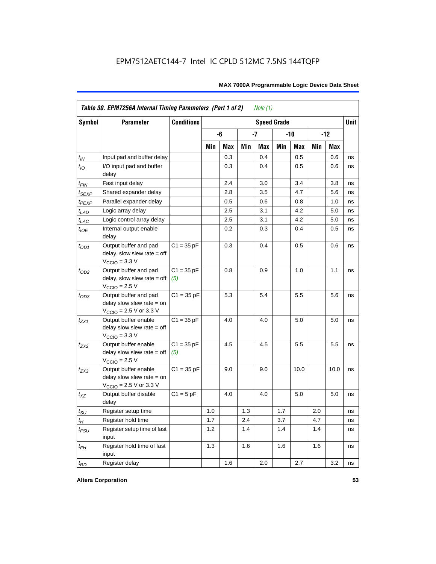| <b>Symbol</b>     | <b>Parameter</b>                                                                                           | <b>Conditions</b>   |     |     |     |            | <b>Speed Grade</b> |      |     |            | <b>Unit</b> |
|-------------------|------------------------------------------------------------------------------------------------------------|---------------------|-----|-----|-----|------------|--------------------|------|-----|------------|-------------|
|                   |                                                                                                            |                     |     | -6  |     | $-7$       | $-12$<br>-10       |      |     |            |             |
|                   |                                                                                                            |                     | Min | Max | Min | <b>Max</b> | Min                | Max  | Min | <b>Max</b> |             |
| $t_{\mathit{IN}}$ | Input pad and buffer delay                                                                                 |                     |     | 0.3 |     | 0.4        |                    | 0.5  |     | 0.6        | ns          |
| $t_{IO}$          | I/O input pad and buffer<br>delay                                                                          |                     |     | 0.3 |     | 0.4        |                    | 0.5  |     | 0.6        | ns          |
| t <sub>FIN</sub>  | Fast input delay                                                                                           |                     |     | 2.4 |     | 3.0        |                    | 3.4  |     | 3.8        | ns          |
| <sup>t</sup> SEXP | Shared expander delay                                                                                      |                     |     | 2.8 |     | 3.5        |                    | 4.7  |     | 5.6        | ns          |
| t <sub>PEXP</sub> | Parallel expander delay                                                                                    |                     |     | 0.5 |     | 0.6        |                    | 0.8  |     | 1.0        | ns          |
| $t_{LAD}$         | Logic array delay                                                                                          |                     |     | 2.5 |     | 3.1        |                    | 4.2  |     | 5.0        | ns          |
| $t_{LAC}$         | Logic control array delay                                                                                  |                     |     | 2.5 |     | 3.1        |                    | 4.2  |     | 5.0        | ns          |
| $t_{IOE}$         | Internal output enable<br>delay                                                                            |                     |     | 0.2 |     | 0.3        |                    | 0.4  |     | 0.5        | ns          |
| $t_{OD1}$         | Output buffer and pad<br>delay, slow slew rate $=$ off<br>$V_{\text{CCIO}} = 3.3 \text{ V}$                | $C1 = 35 pF$        |     | 0.3 |     | 0.4        |                    | 0.5  |     | 0.6        | ns          |
| $t_{OD2}$         | Output buffer and pad<br>$delay$ , slow slew rate = off<br>$VCCIO = 2.5 V$                                 | $C1 = 35 pF$<br>(5) |     | 0.8 |     | 0.9        |                    | 1.0  |     | 1.1        | ns          |
| $t_{OD3}$         | Output buffer and pad<br>delay slow slew rate $=$ on<br>$V_{\text{CCIO}}$ = 2.5 V or 3.3 V                 | $C1 = 35 pF$        |     | 5.3 |     | 5.4        |                    | 5.5  |     | 5.6        | ns          |
| tzx1              | Output buffer enable<br>delay slow slew rate $=$ off<br>$VCCIO = 3.3 V$                                    | $C1 = 35 pF$        |     | 4.0 |     | 4.0        |                    | 5.0  |     | 5.0        | ns          |
| $t_{ZX2}$         | Output buffer enable<br>delay slow slew rate $=$ off<br>$VCCIO = 2.5 V$                                    | $C1 = 35 pF$<br>(5) |     | 4.5 |     | 4.5        |                    | 5.5  |     | 5.5        | ns          |
| t <sub>ZX3</sub>  | Output buffer enable<br>delay slow slew rate $=$ on<br>$V_{\text{CCIO}} = 2.5 \text{ V or } 3.3 \text{ V}$ | $C1 = 35 pF$        |     | 9.0 |     | 9.0        |                    | 10.0 |     | 10.0       | ns          |
| $t_{XZ}$          | Output buffer disable<br>delay                                                                             | $C1 = 5$ pF         |     | 4.0 |     | 4.0        |                    | 5.0  |     | 5.0        | ns          |
| $t_{\text{SU}}$   | Register setup time                                                                                        |                     | 1.0 |     | 1.3 |            | 1.7                |      | 2.0 |            | ns          |
| $t_{H}$           | Register hold time                                                                                         |                     | 1.7 |     | 2.4 |            | 3.7                |      | 4.7 |            | ns          |
| $t_{FSU}$         | Register setup time of fast<br>input                                                                       |                     | 1.2 |     | 1.4 |            | 1.4                |      | 1.4 |            | ns          |
| $t_{FH}$          | Register hold time of fast<br>input                                                                        |                     | 1.3 |     | 1.6 |            | 1.6                |      | 1.6 |            | ns          |
| $t_{RD}$          | Register delay                                                                                             |                     |     | 1.6 |     | 2.0        |                    | 2.7  |     | 3.2        | ns          |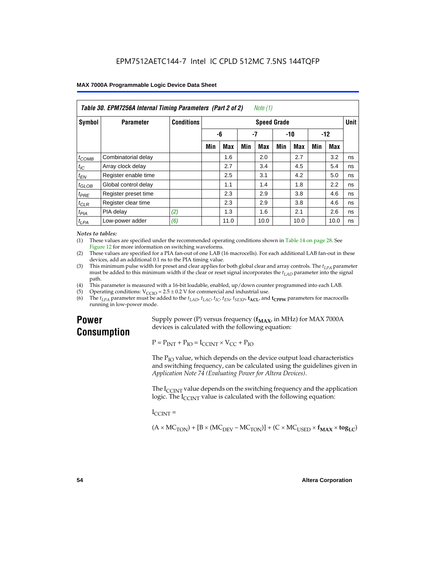| Table 30. EPM7256A Internal Timing Parameters (Part 2 of 2)<br>Note (1) |                      |                   |                 |            |     |                    |     |            |     |      |             |
|-------------------------------------------------------------------------|----------------------|-------------------|-----------------|------------|-----|--------------------|-----|------------|-----|------|-------------|
| Symbol                                                                  | <b>Parameter</b>     | <b>Conditions</b> |                 |            |     | <b>Speed Grade</b> |     |            |     |      | <b>Unit</b> |
|                                                                         |                      |                   | -7<br>-6<br>-10 |            |     | $-12$              |     |            |     |      |             |
|                                                                         |                      |                   | Min             | <b>Max</b> | Min | Max                | Min | <b>Max</b> | Min | Max  |             |
| $t_{COMB}$                                                              | Combinatorial delay  |                   |                 | 1.6        |     | 2.0                |     | 2.7        |     | 3.2  | ns          |
| $t_{\text{IC}}$                                                         | Array clock delay    |                   |                 | 2.7        |     | 3.4                |     | 4.5        |     | 5.4  | ns          |
| $t_{EN}$                                                                | Register enable time |                   |                 | 2.5        |     | 3.1                |     | 4.2        |     | 5.0  | ns          |
| $t_{GLOB}$                                                              | Global control delay |                   |                 | 1.1        |     | 1.4                |     | 1.8        |     | 2.2  | ns          |
| $t_{PRE}$                                                               | Register preset time |                   |                 | 2.3        |     | 2.9                |     | 3.8        |     | 4.6  | ns          |
| $t_{CLR}$                                                               | Register clear time  |                   |                 | 2.3        |     | 2.9                |     | 3.8        |     | 4.6  | ns          |
| t <sub>PIA</sub>                                                        | PIA delay            | (2)               |                 | 1.3        |     | 1.6                |     | 2.1        |     | 2.6  | ns          |
| $t_{LPA}$                                                               | Low-power adder      | (6)               |                 | 11.0       |     | 10.0               |     | 10.0       |     | 10.0 | ns          |

#### *Notes to tables:*

(1) These values are specified under the recommended operating conditions shown in Table 14 on page 28. See Figure 12 for more information on switching waveforms.

- (2) These values are specified for a PIA fan-out of one LAB (16 macrocells). For each additional LAB fan-out in these devices, add an additional 0.1 ns to the PIA timing value.
- (3) This minimum pulse width for preset and clear applies for both global clear and array controls. The  $t_{LPA}$  parameter must be added to this minimum width if the clear or reset signal incorporates the  $t_{LAD}$  parameter into the signal path.
- (4) This parameter is measured with a 16-bit loadable, enabled, up/down counter programmed into each LAB.
- (5) Operating conditions:  $V_{\text{CCIO}} = 2.5 \pm 0.2 \text{ V}$  for commercial and industrial use.<br>(6) The  $t_{I/A}$  parameter must be added to the  $t_{I AD}$ ,  $t_{I AC}$ ,  $t_{I C}$ ,  $t_{F N}$ ,  $t_{S F Y P}$ ,  $t_{A C I}$ , and
- The  $t_{LPA}$  parameter must be added to the  $t_{LAD}$ ,  $t_{LAC}$ ,  $t_{IC}$ ,  $t_{EN}$ ,  $t_{SEXP}$ ,  $t_{ACL}$  and  $t_{CPPW}$  parameters for macrocells running in low-power mode.

## **Power Consumption**

Supply power (P) versus frequency  $(f_{MAX}$ , in MHz) for MAX 7000A devices is calculated with the following equation:

 $P = P_{INT} + P_{IO} = I_{CCINT} \times V_{CC} + P_{IO}$ 

The  $P_{IO}$  value, which depends on the device output load characteristics and switching frequency, can be calculated using the guidelines given in *Application Note 74 (Evaluating Power for Altera Devices)*.

The  $I_{\text{CUNT}}$  value depends on the switching frequency and the application logic. The  $I_{\text{CCINT}}$  value is calculated with the following equation:

 $I_{\text{CCMT}} =$ 

 $(A \times MC_{TON}) + [B \times (MC_{DEV} - MC_{TON})] + (C \times MC_{LISED} \times f_{MAX} \times tog_{LC})$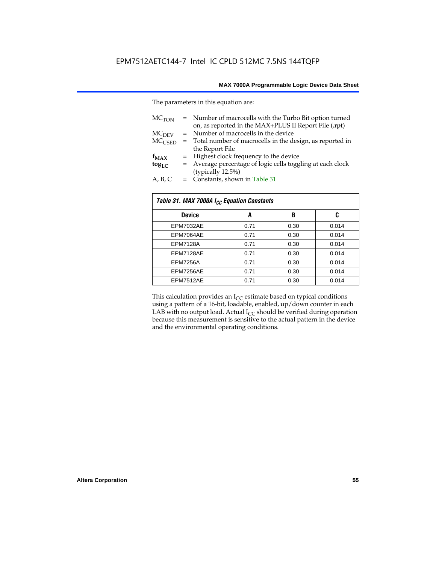The parameters in this equation are:

| MC <sub>TON</sub> | = Number of macrocells with the Turbo Bit option turned<br>on, as reported in the MAX+PLUS II Report File (.rpt) |
|-------------------|------------------------------------------------------------------------------------------------------------------|
| MC <sub>DFV</sub> | = Number of macrocells in the device                                                                             |
| $MC_{LISED}$      | = Total number of macrocells in the design, as reported in                                                       |
|                   | the Report File                                                                                                  |
| $f_{MAX}$         | = Highest clock frequency to the device                                                                          |
| $tog_{LC}$        | = Average percentage of logic cells toggling at each clock                                                       |
|                   | (typically 12.5%)                                                                                                |
| A, B, C           | = Constants, shown in Table 31                                                                                   |

| Table 31. MAX 7000A I <sub>CC</sub> Equation Constants |      |      |       |  |  |  |
|--------------------------------------------------------|------|------|-------|--|--|--|
| <b>Device</b>                                          | A    | B    | C     |  |  |  |
| EPM7032AE                                              | 0.71 | 0.30 | 0.014 |  |  |  |
| EPM7064AE                                              | 0.71 | 0.30 | 0.014 |  |  |  |
| <b>EPM7128A</b>                                        | 0.71 | 0.30 | 0.014 |  |  |  |
| EPM7128AE                                              | 0.71 | 0.30 | 0.014 |  |  |  |
| <b>EPM7256A</b>                                        | 0.71 | 0.30 | 0.014 |  |  |  |
| EPM7256AE                                              | 0.71 | 0.30 | 0.014 |  |  |  |
| EPM7512AE                                              | 0.71 | 0.30 | 0.014 |  |  |  |

This calculation provides an  $I_{CC}$  estimate based on typical conditions using a pattern of a 16-bit, loadable, enabled, up/down counter in each LAB with no output load. Actual  $I_{CC}$  should be verified during operation because this measurement is sensitive to the actual pattern in the device and the environmental operating conditions.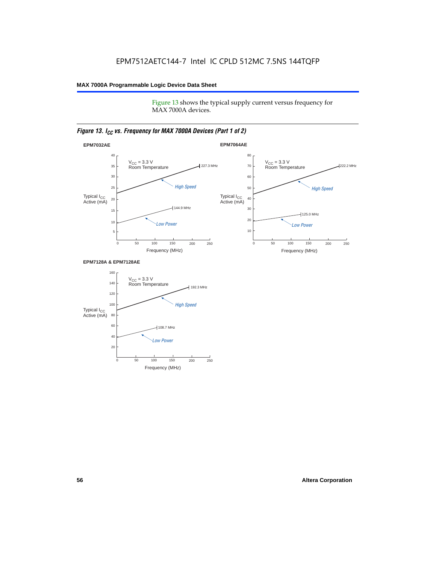Figure 13 shows the typical supply current versus frequency for MAX 7000A devices.

## *Figure 13. I<sub>CC</sub> vs. Frequency for MAX 7000A Devices (Part 1 of 2)*



#### **EPM7128A & EPM7128AE**

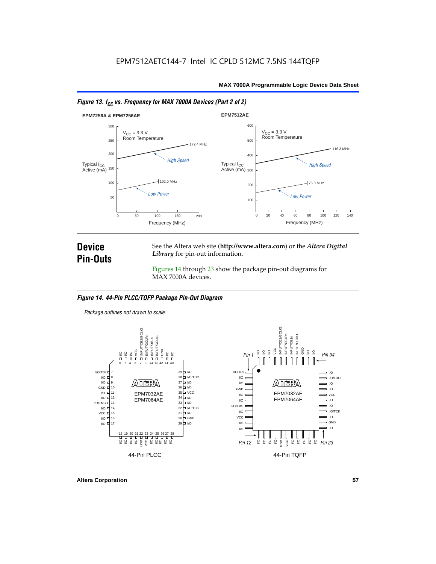



## **Device Pin-Outs**

See the Altera web site (**http://www.altera.com**) or the *Altera Digital Library* for pin-out information.

Figures 14 through 23 show the package pin-out diagrams for MAX 7000A devices.

## *Figure 14. 44-Pin PLCC/TQFP Package Pin-Out Diagram*

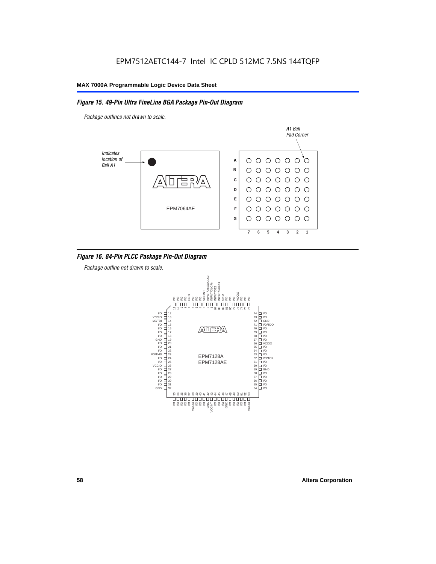## *Figure 15. 49-Pin Ultra FineLine BGA Package Pin-Out Diagram*

*Package outlines not drawn to scale.*



## *Figure 16. 84-Pin PLCC Package Pin-Out Diagram*

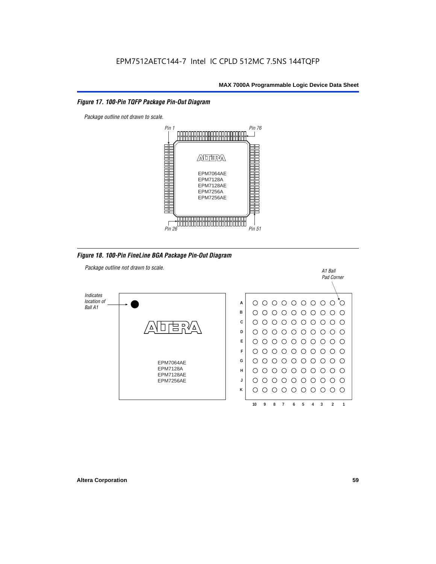## *Figure 17. 100-Pin TQFP Package Pin-Out Diagram*



*Figure 18. 100-Pin FineLine BGA Package Pin-Out Diagram*

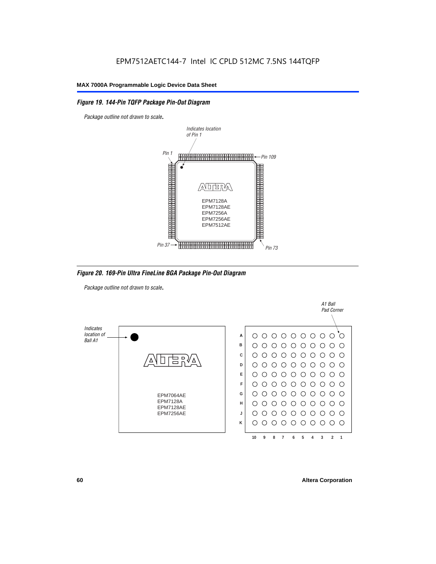## *Figure 19. 144-Pin TQFP Package Pin-Out Diagram*

*Package outline not drawn to scale*.



*Figure 20. 169-Pin Ultra FineLine BGA Package Pin-Out Diagram*

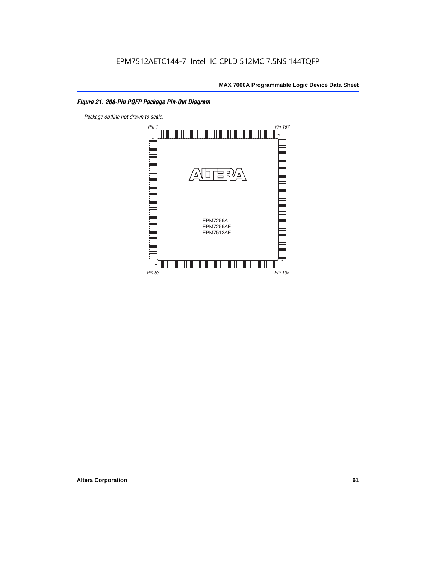## *Figure 21. 208-Pin PQFP Package Pin-Out Diagram*

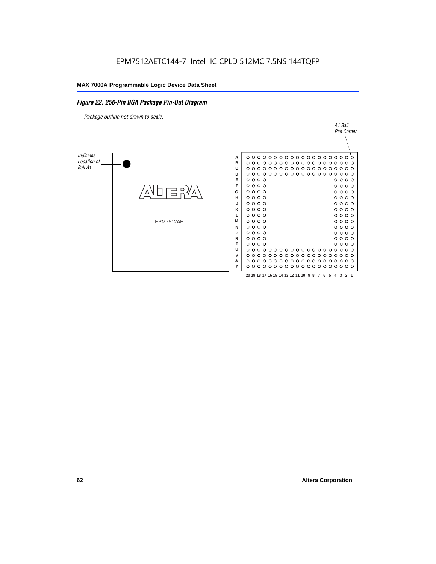#### *Figure 22. 256-Pin BGA Package Pin-Out Diagram*

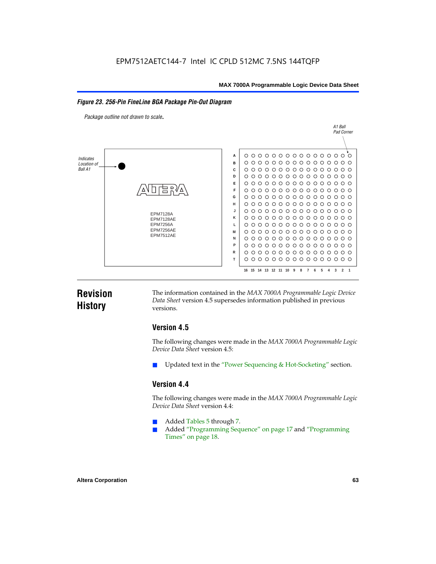## *Figure 23. 256-Pin FineLine BGA Package Pin-Out Diagram*

*Package outline not drawn to scale*.



## **Revision History**

The information contained in the *MAX 7000A Programmable Logic Device Data Sheet* version 4.5 supersedes information published in previous versions.

## **Version 4.5**

The following changes were made in the *MAX 7000A Programmable Logic Device Data Sheet* version 4.5:

Updated text in the "Power Sequencing & Hot-Socketing" section.

## **Version 4.4**

The following changes were made in the *MAX 7000A Programmable Logic Device Data Sheet* version 4.4:

- Added Tables 5 through 7.
	- Added "Programming Sequence" on page 17 and "Programming Times" on page 18.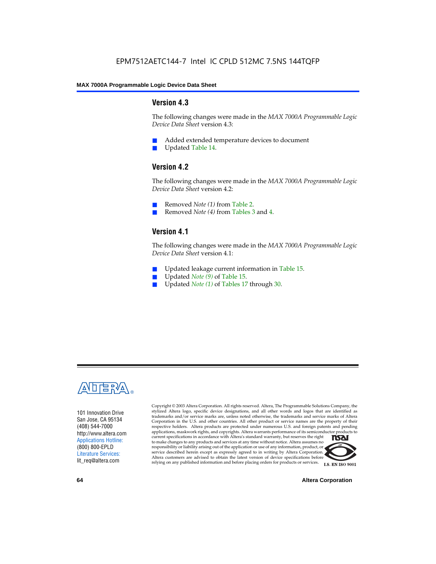## **Version 4.3**

The following changes were made in the *MAX 7000A Programmable Logic Device Data Sheet* version 4.3:

- Added extended temperature devices to document
- Updated Table 14.

## **Version 4.2**

The following changes were made in the *MAX 7000A Programmable Logic Device Data Sheet* version 4.2:

- Removed *Note (1)* from Table 2.
- Removed *Note (4)* from Tables 3 and 4.

## **Version 4.1**

The following changes were made in the *MAX 7000A Programmable Logic Device Data Sheet* version 4.1:

- Updated leakage current information in Table 15.
- Updated *Note (9)* of Table 15.
- Updated *Note* (1) of Tables 17 through 30.



101 Innovation Drive San Jose, CA 95134 (408) 544-7000 http://www.altera.com Applications Hotline: (800) 800-EPLD Literature Services: lit\_req@altera.com

Copyright © 2003 Altera Corporation. All rights reserved. Altera, The Programmable Solutions Company, the stylized Altera logo, specific device designations, and all other words and logos that are identified as trademarks and/or service marks are, unless noted otherwise, the trademarks and service marks of Altera Corporation in the U.S. and other countries. All other product or service names are the property of their respective holders. Altera products are protected under numerous U.S. and foreign patents and pending applications, maskwork rights, and copyrights. Altera warrants performance of its semiconductor products to current specifications in accordance with Altera's standard warranty, but reserves the right **TSAI** to make changes to any products and services at any time without notice. Altera assumes no responsibility or liability arising out of the application or use of any information, product, or service described herein except as expressly agreed to in writing by Altera Corporation. Altera customers are advised to obtain the latest version of device specifications before relying on any published information and before placing orders for products or services.



**64 Altera Corporation**